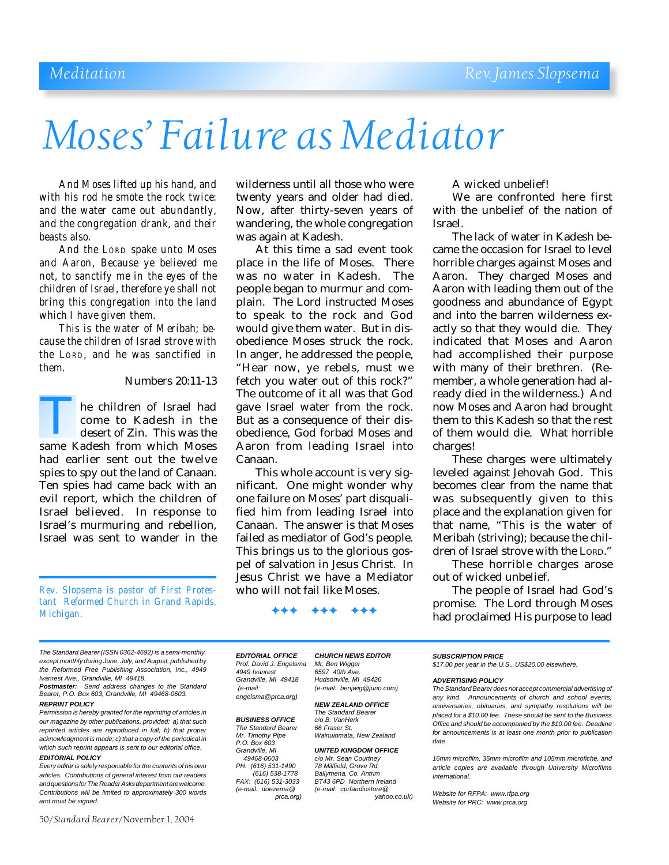# *Moses' Failure as Mediator*

*And Moses lifted up his hand, and with his rod he smote the rock twice: and the water came out abundantly, and the congregation drank, and their beasts also.*

*And the LORD spake unto Moses and Aaron, Because ye believed me not, to sanctify me in the eyes of the children of Israel, therefore ye shall not bring this congregation into the land which I have given them.*

*This is the water of Meribah; because the children of Israel strove with the LORD, and he was sanctified in them.*

### Numbers 20:11-13

he children of Israel had come to Kadesh in the desert of Zin. This was the The children of Israel had<br>
come to Kadesh in the<br>
desert of Zin. This was the<br>
same Kadesh from which Moses had earlier sent out the twelve spies to spy out the land of Canaan. Ten spies had came back with an evil report, which the children of Israel believed. In response to Israel's murmuring and rebellion, Israel was sent to wander in the

*Rev. Slopsema is pastor of First Protestant Reformed Church in Grand Rapids, Michigan.*

*The Standard Bearer (ISSN 0362-4692) is a semi-monthly, except monthly during June, July, and August, published by the Reformed Free Publishing Association, Inc., 4949 Ivanrest Ave., Grandville, MI 49418.*

*Postmaster: Send address changes to the Standard Bearer, P.O. Box 603, Grandville, MI 49468-0603.*

### *REPRINT POLICY*

*Permission is hereby granted for the reprinting of articles in our magazine by other publications, provided: a) that such reprinted articles are reproduced in full; b) that proper acknowledgment is made; c) that a copy of the periodical in which such reprint appears is sent to our editorial office. EDITORIAL POLICY*

*Every editor is solely responsible for the contents of his own articles. Contributions of general interest from our readers and questions for The Reader Asks department are welcome. Contributions will be limited to approximately 300 words and must be signed.*

50/*Standard Bearer*/November 1, 2004

wilderness until all those who were twenty years and older had died. Now, after thirty-seven years of wandering, the whole congregation was again at Kadesh.

At this time a sad event took place in the life of Moses. There was no water in Kadesh. The people began to murmur and complain. The Lord instructed Moses to speak to the rock and God would give them water. But in disobedience Moses struck the rock. In anger, he addressed the people, "Hear now, ye rebels, must we fetch you water out of this rock?" The outcome of it all was that God gave Israel water from the rock. But as a consequence of their disobedience, God forbad Moses and Aaron from leading Israel into Canaan.

This whole account is very significant. One might wonder why one failure on Moses' part disqualified him from leading Israel into Canaan. The answer is that Moses failed as mediator of God's people. This brings us to the glorious gospel of salvation in Jesus Christ. In Jesus Christ we have a Mediator who will not fail like Moses.

A wicked unbelief!

We are confronted here first with the unbelief of the nation of Israel.

The lack of water in Kadesh became the occasion for Israel to level horrible charges against Moses and Aaron. They charged Moses and Aaron with leading them out of the goodness and abundance of Egypt and into the barren wilderness exactly so that they would die. They indicated that Moses and Aaron had accomplished their purpose with many of their brethren. (Remember, a whole generation had already died in the wilderness.) And now Moses and Aaron had brought them to this Kadesh so that the rest of them would die. What horrible charges!

These charges were ultimately leveled against Jehovah God. This becomes clear from the name that was subsequently given to this place and the explanation given for that name, "This is the water of Meribah (striving); because the children of Israel strove with the LORD."

These horrible charges arose out of wicked unbelief.

The people of Israel had God's promise. The Lord through Moses had proclaimed His purpose to lead

# ✦✦✦ ✦✦✦ ✦✦✦

*EDITORIAL OFFICE CHURCH NEWS EDITOR Prof. David J. Engelsma Mr. Ben Wigger 4949 Ivanrest 6597 40th Ave. engelsma@prca.org)*

# **BUSINESS OFFICE**

*The Standard Bearer 66 Fraser St. P.O. Box 603 PH:* (616) 531-1490<br>(616) 538-1778  *(616) 538-1778 Ballymena, Co. Antrim*

*Grandville, MI 49418 Hudsonville, MI 49426 (e-mail: (e-mail: benjwig@juno.com)*

> *NEW ZEALAND OFFICE The Standard Bearer Wainuiomata, New Zealand*

*Grandville, MI UNITED KINGDOM OFFICE c/o Mr. Sean Courtney*<br>78 *Millfield. Grove Rd.* 

*FAX: (616) 531-3033 BT43 6PD Northern Ireland (e-mail: doezema@ (e-mail: cprfaudiostore@ prca.org) yahoo.co.uk)*

*SUBSCRIPTION PRICE \$17.00 per year in the U.S., US\$20.00 elsewhere.*

### *ADVERTISING POLICY*

*The Standard Bearer does not accept commercial advertising of any kind. Announcements of church and school events, anniversaries, obituaries, and sympathy resolutions will be placed for a \$10.00 fee. These should be sent to the Business Office and should be accompanied by the \$10.00 fee. Deadline for announcements is at least one month prior to publication date.*

*16mm microfilm, 35mm microfilm and 105mm microfiche, and article copies are available through University Microfilms International.*

*Website for RFPA: www.rfpa.org Website for PRC: www.prca.org*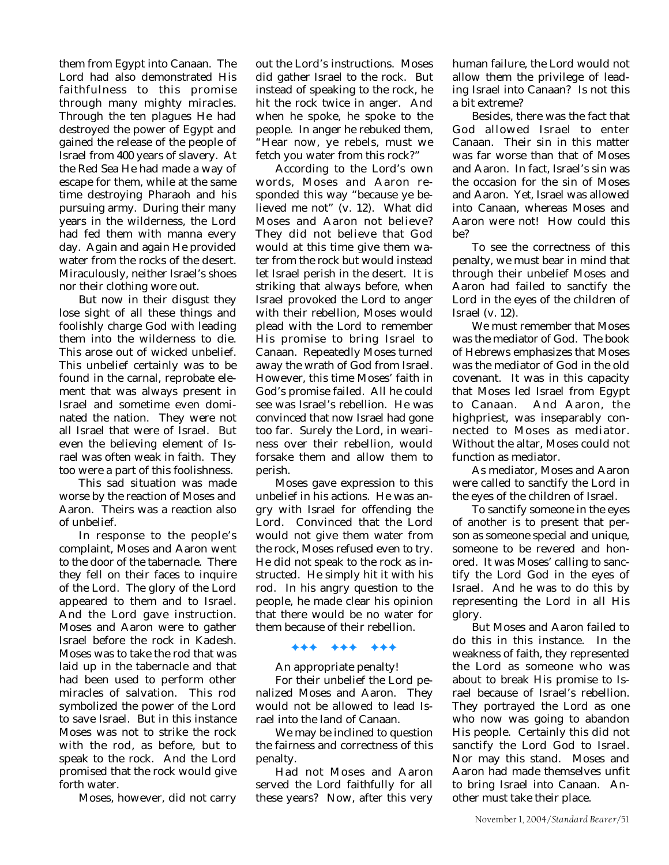them from Egypt into Canaan. The Lord had also demonstrated His faithfulness to this promise through many mighty miracles. Through the ten plagues He had destroyed the power of Egypt and gained the release of the people of Israel from 400 years of slavery. At the Red Sea He had made a way of escape for them, while at the same time destroying Pharaoh and his pursuing army. During their many years in the wilderness, the Lord had fed them with manna every day. Again and again He provided water from the rocks of the desert. Miraculously, neither Israel's shoes nor their clothing wore out.

But now in their disgust they lose sight of all these things and foolishly charge God with leading them into the wilderness to die. This arose out of wicked unbelief. This unbelief certainly was to be found in the carnal, reprobate element that was always present in Israel and sometime even dominated the nation. They were not all Israel that were of Israel. But even the believing element of Israel was often weak in faith. They too were a part of this foolishness.

This sad situation was made worse by the reaction of Moses and Aaron. Theirs was a reaction also of unbelief.

In response to the people's complaint, Moses and Aaron went to the door of the tabernacle. There they fell on their faces to inquire of the Lord. The glory of the Lord appeared to them and to Israel. And the Lord gave instruction. Moses and Aaron were to gather Israel before the rock in Kadesh. Moses was to take the rod that was laid up in the tabernacle and that had been used to perform other miracles of salvation. This rod symbolized the power of the Lord to save Israel. But in this instance Moses was not to strike the rock with the rod, as before, but to speak to the rock. And the Lord promised that the rock would give forth water.

Moses, however, did not carry

out the Lord's instructions. Moses did gather Israel to the rock. But instead of speaking to the rock, he hit the rock twice in anger. And when he spoke, he spoke to the people. In anger he rebuked them, "Hear now, ye rebels, must we fetch you water from this rock?"

According to the Lord's own words, Moses and Aaron responded this way "because ye believed me not" (v. 12). What did Moses and Aaron not believe? They did not believe that God would at this time give them water from the rock but would instead let Israel perish in the desert. It is striking that always before, when Israel provoked the Lord to anger with their rebellion, Moses would plead with the Lord to remember His promise to bring Israel to Canaan. Repeatedly Moses turned away the wrath of God from Israel. However, this time Moses' faith in God's promise failed. All he could see was Israel's rebellion. He was convinced that now Israel had gone too far. Surely the Lord, in weariness over their rebellion, would forsake them and allow them to perish.

Moses gave expression to this unbelief in his actions. He was angry with Israel for offending the Lord. Convinced that the Lord would not give them water from the rock, Moses refused even to try. He did not speak to the rock as instructed. He simply hit it with his rod. In his angry question to the people, he made clear his opinion that there would be no water for them because of their rebellion.

### ✦✦✦ ✦✦✦ ✦✦✦

An appropriate penalty!

For their unbelief the Lord penalized Moses and Aaron. They would not be allowed to lead Israel into the land of Canaan.

We may be inclined to question the fairness and correctness of this penalty.

Had not Moses and Aaron served the Lord faithfully for all these years? Now, after this very

human failure, the Lord would not allow them the privilege of leading Israel into Canaan? Is not this a bit extreme?

Besides, there was the fact that God allowed Israel to enter Canaan. Their sin in this matter was far worse than that of Moses and Aaron. In fact, Israel's sin was the occasion for the sin of Moses and Aaron. Yet, Israel was allowed into Canaan, whereas Moses and Aaron were not! How could this be?

To see the correctness of this penalty, we must bear in mind that through their unbelief Moses and Aaron had failed to sanctify the Lord in the eyes of the children of Israel (v. 12).

We must remember that Moses was the mediator of God. The book of Hebrews emphasizes that Moses was the mediator of God in the old covenant. It was in this capacity that Moses led Israel from Egypt to Canaan. And Aaron, the highpriest, was inseparably connected to Moses as mediator. Without the altar, Moses could not function as mediator.

As mediator, Moses and Aaron were called to sanctify the Lord in the eyes of the children of Israel.

To sanctify someone in the eyes of another is to present that person as someone special and unique, someone to be revered and honored. It was Moses' calling to sanctify the Lord God in the eyes of Israel. And he was to do this by representing the Lord in all His glory.

But Moses and Aaron failed to do this in this instance. In the weakness of faith, they represented the Lord as someone who was about to break His promise to Israel because of Israel's rebellion. They portrayed the Lord as one who now was going to abandon His people. Certainly this did not sanctify the Lord God to Israel. Nor may this stand. Moses and Aaron had made themselves unfit to bring Israel into Canaan. Another must take their place.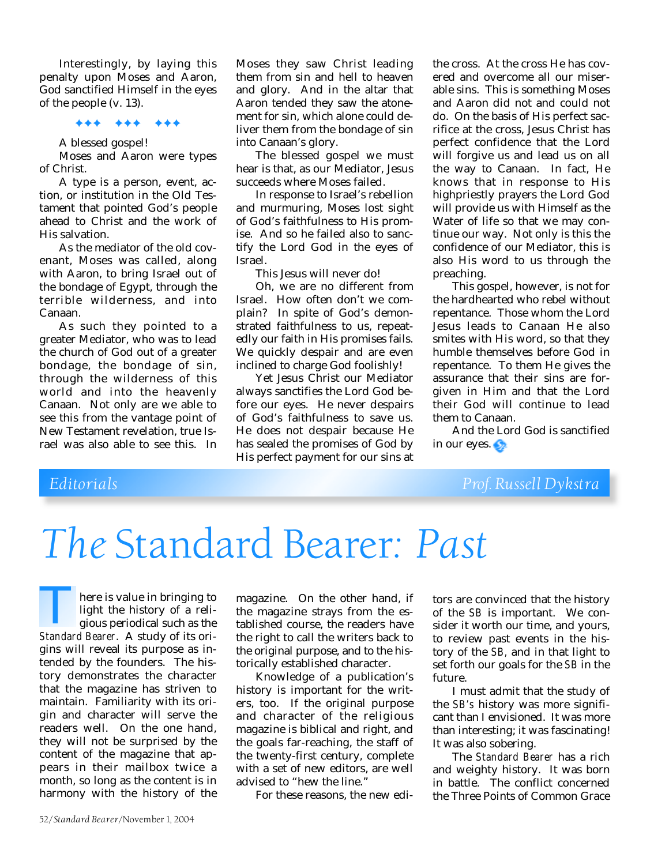Interestingly, by laying this penalty upon Moses and Aaron, God sanctified Himself in the eyes of the people (v. 13).

### ✦✦✦ ✦✦✦ ✦✦✦

A blessed gospel!

Moses and Aaron were types of Christ.

A type is a person, event, action, or institution in the Old Testament that pointed God's people ahead to Christ and the work of His salvation.

As the mediator of the old covenant, Moses was called, along with Aaron, to bring Israel out of the bondage of Egypt, through the terrible wilderness, and into Canaan.

As such they pointed to a greater Mediator, who was to lead the church of God out of a greater bondage, the bondage of sin, through the wilderness of this world and into the heavenly Canaan. Not only are we able to see this from the vantage point of New Testament revelation, true Israel was also able to see this. In

Moses they saw Christ leading them from sin and hell to heaven and glory. And in the altar that Aaron tended they saw the atonement for sin, which alone could deliver them from the bondage of sin into Canaan's glory.

The blessed gospel we must hear is that, as our Mediator, Jesus succeeds where Moses failed.

In response to Israel's rebellion and murmuring, Moses lost sight of God's faithfulness to His promise. And so he failed also to sanctify the Lord God in the eyes of Israel.

This Jesus will never do!

Oh, we are no different from Israel. How often don't we complain? In spite of God's demonstrated faithfulness to us, repeatedly our faith in His promises fails. We quickly despair and are even inclined to charge God foolishly!

Yet Jesus Christ our Mediator always sanctifies the Lord God before our eyes. He never despairs of God's faithfulness to save us. He does not despair because He has sealed the promises of God by His perfect payment for our sins at

the cross. At the cross He has covered and overcome all our miserable sins. This is something Moses and Aaron did not and could not do. On the basis of His perfect sacrifice at the cross, Jesus Christ has perfect confidence that the Lord will forgive us and lead us on all the way to Canaan. In fact, He knows that in response to His highpriestly prayers the Lord God will provide us with Himself as the Water of life so that we may continue our way. Not only is this the confidence of our Mediator, this is also His word to us through the preaching.

This gospel, however, is not for the hardhearted who rebel without repentance. Those whom the Lord Jesus leads to Canaan He also smites with His word, so that they humble themselves before God in repentance. To them He gives the assurance that their sins are forgiven in Him and that the Lord their God will continue to lead them to Canaan.

And the Lord God is sanctified in our eyes.

# *Editorials Prof. Russell Dykstra*

# *The* Standard Bearer*: Past*

here is value in bringing to light the history of a religious periodical such as the **Standard Bearer.** A study of its ori-<br>Bear and *Standard Bearer*. A study of its origins will reveal its purpose as intended by the founders. The history demonstrates the character that the magazine has striven to maintain. Familiarity with its origin and character will serve the readers well. On the one hand, they will not be surprised by the content of the magazine that appears in their mailbox twice a month, so long as the content is in harmony with the history of the

magazine. On the other hand, if the magazine strays from the established course, the readers have the right to call the writers back to the original purpose, and to the historically established character.

Knowledge of a publication's history is important for the writers, too. If the original purpose and character of the religious magazine is biblical and right, and the goals far-reaching, the staff of the twenty-first century, complete with a set of new editors, are well advised to "hew the line."

For these reasons, the new edi-

tors are convinced that the history of the *SB* is important. We consider it worth our time, and yours, to review past events in the history of the *SB,* and in that light to set forth our goals for the *SB* in the future.

I must admit that the study of the *SB's* history was more significant than I envisioned. It was more than interesting; it was fascinating! It was also sobering.

The *Standard Bearer* has a rich and weighty history. It was born in battle. The conflict concerned the Three Points of Common Grace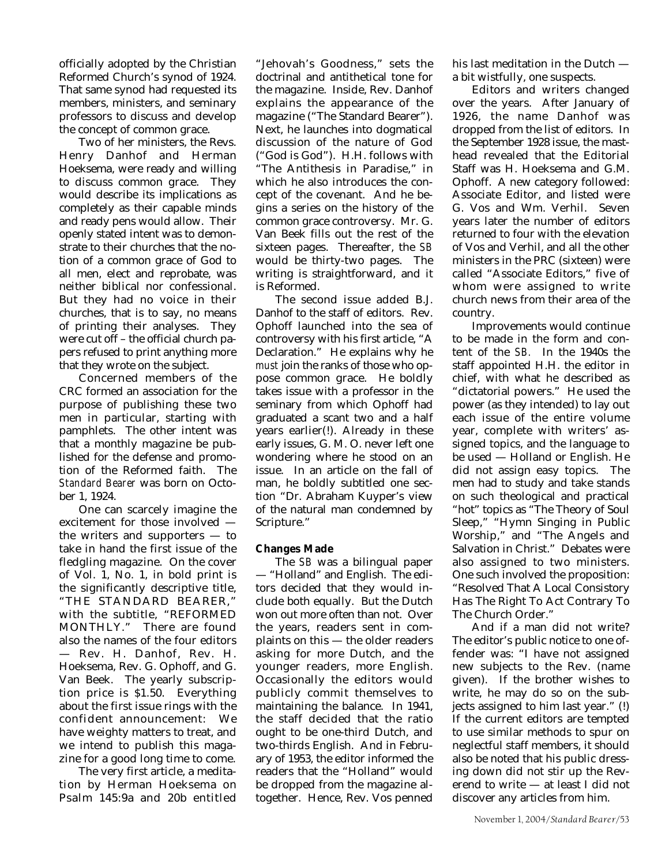officially adopted by the Christian Reformed Church's synod of 1924. That same synod had requested its members, ministers, and seminary professors to discuss and develop the concept of common grace.

Two of her ministers, the Revs. Henry Danhof and Herman Hoeksema, were ready and willing to discuss common grace. They would describe its implications as completely as their capable minds and ready pens would allow. Their openly stated intent was to demonstrate to their churches that the notion of a common grace of God to all men, elect and reprobate, was neither biblical nor confessional. But they had no voice in their churches, that is to say, no means of printing their analyses. They were cut off – the official church papers refused to print anything more that they wrote on the subject.

Concerned members of the CRC formed an association for the purpose of publishing these two men in particular, starting with pamphlets. The other intent was that a monthly magazine be published for the defense and promotion of the Reformed faith. The *Standard Bearer* was born on October 1, 1924.

One can scarcely imagine the excitement for those involved the writers and supporters — to take in hand the first issue of the fledgling magazine. On the cover of Vol. 1, No. 1, in bold print is the significantly descriptive title, "THE STANDARD BEARER," with the subtitle, "REFORMED MONTHLY." There are found also the names of the four editors — Rev. H. Danhof, Rev. H. Hoeksema, Rev. G. Ophoff, and G. Van Beek. The yearly subscription price is \$1.50. Everything about the first issue rings with the confident announcement: We have weighty matters to treat, and we intend to publish this magazine for a good long time to come.

The very first article, a meditation by Herman Hoeksema on Psalm 145:9a and 20b entitled

"Jehovah's Goodness," sets the doctrinal and antithetical tone for the magazine. Inside, Rev. Danhof explains the appearance of the magazine ("The Standard Bearer"). Next, he launches into dogmatical discussion of the nature of God ("God is God"). H.H. follows with "The Antithesis in Paradise," in which he also introduces the concept of the covenant. And he begins a series on the history of the common grace controversy. Mr. G. Van Beek fills out the rest of the sixteen pages. Thereafter, the *SB* would be thirty-two pages. The writing is straightforward, and it is Reformed.

The second issue added B.J. Danhof to the staff of editors. Rev. Ophoff launched into the sea of controversy with his first article, "A Declaration." He explains why he *must* join the ranks of those who oppose common grace. He boldly takes issue with a professor in the seminary from which Ophoff had graduated a scant two and a half years earlier(!). Already in these early issues, G. M. O. never left one wondering where he stood on an issue. In an article on the fall of man, he boldly subtitled one section "Dr. Abraham Kuyper's view of the natural man condemned by Scripture."

### **Changes Made**

The *SB* was a bilingual paper — "Holland" and English. The editors decided that they would include both equally. But the Dutch won out more often than not. Over the years, readers sent in complaints on this — the older readers asking for more Dutch, and the younger readers, more English. Occasionally the editors would publicly commit themselves to maintaining the balance. In 1941, the staff decided that the ratio ought to be one-third Dutch, and two-thirds English. And in February of 1953, the editor informed the readers that the "Holland" would be dropped from the magazine altogether. Hence, Rev. Vos penned

his last meditation in the Dutch a bit wistfully, one suspects.

Editors and writers changed over the years. After January of 1926, the name Danhof was dropped from the list of editors. In the September 1928 issue, the masthead revealed that the Editorial Staff was H. Hoeksema and G.M. Ophoff. A new category followed: Associate Editor, and listed were G. Vos and Wm. Verhil. Seven years later the number of editors returned to four with the elevation of Vos and Verhil, and all the other ministers in the PRC (sixteen) were called "Associate Editors," five of whom were assigned to write church news from their area of the country.

Improvements would continue to be made in the form and content of the *SB.* In the 1940s the staff appointed H.H. the editor in chief, with what he described as "dictatorial powers." He used the power (as they intended) to lay out each issue of the entire volume year, complete with writers' assigned topics, and the language to be used — Holland or English. He did not assign easy topics. The men had to study and take stands on such theological and practical "hot" topics as "The Theory of Soul Sleep," "Hymn Singing in Public Worship," and "The Angels and Salvation in Christ." Debates were also assigned to two ministers. One such involved the proposition: "Resolved That A Local Consistory Has The Right To Act Contrary To The Church Order."

And if a man did not write? The editor's public notice to one offender was: "I have not assigned new subjects to the Rev. (name given). If the brother wishes to write, he may do so on the subjects assigned to him last year." (!) If the current editors are tempted to use similar methods to spur on neglectful staff members, it should also be noted that his public dressing down did not stir up the Reverend to write — at least I did not discover any articles from him.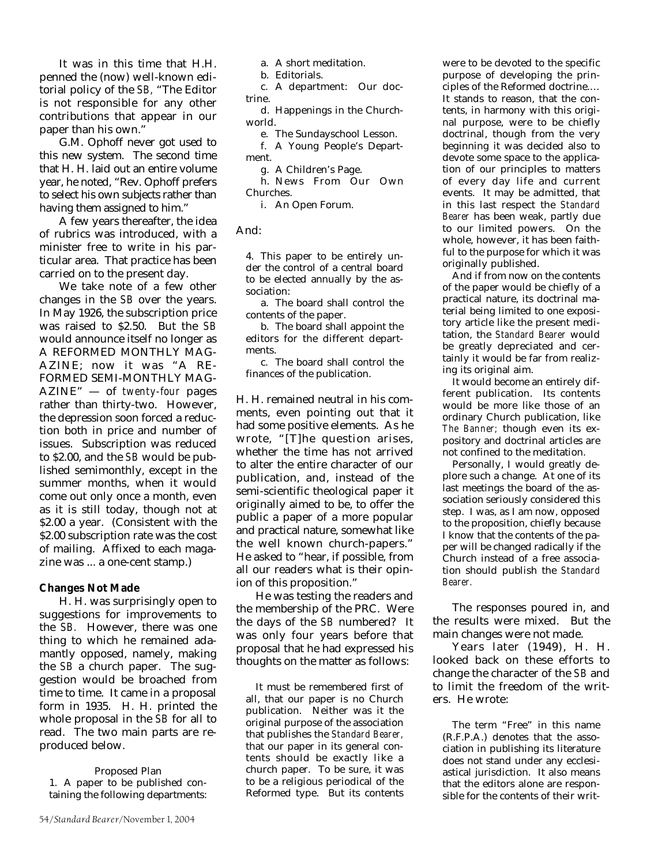It was in this time that H.H. penned the (now) well-known editorial policy of the *SB,* "The Editor is not responsible for any other contributions that appear in our paper than his own."

G.M. Ophoff never got used to this new system. The second time that H. H. laid out an entire volume year, he noted, "Rev. Ophoff prefers to select his own subjects rather than having them assigned to him."

A few years thereafter, the idea of rubrics was introduced, with a minister free to write in his particular area. That practice has been carried on to the present day.

We take note of a few other changes in the *SB* over the years. In May 1926, the subscription price was raised to \$2.50. But the *SB* would announce itself no longer as A REFORMED MONTHLY MAG-AZINE; now it was "A RE-FORMED SEMI-MONTHLY MAG-AZINE" — of *twenty-four* pages rather than thirty-two. However, the depression soon forced a reduction both in price and number of issues. Subscription was reduced to \$2.00, and the *SB* would be published semimonthly, except in the summer months, when it would come out only once a month, even as it is still today, though not at \$2.00 a year. (Consistent with the \$2.00 subscription rate was the cost of mailing. Affixed to each magazine was ... a one-cent stamp.)

### **Changes Not Made**

H. H. was surprisingly open to suggestions for improvements to the *SB.* However, there was one thing to which he remained adamantly opposed, namely, making the *SB* a church paper. The suggestion would be broached from time to time. It came in a proposal form in 1935. H. H. printed the whole proposal in the *SB* for all to read. The two main parts are reproduced below.

Proposed Plan 1. A paper to be published containing the following departments: a. A short meditation.

b. Editorials.

c. A department: Our doctrine.

d. Happenings in the Churchworld.

e. The Sundayschool Lesson.

f. A Young People's Department.

g. A Children's Page.

h. News From Our Own Churches.

i. An Open Forum.

### And:

4. This paper to be entirely under the control of a central board to be elected annually by the association:

a. The board shall control the contents of the paper.

b. The board shall appoint the editors for the different departments.

c. The board shall control the finances of the publication.

H. H. remained neutral in his comments, even pointing out that it had some positive elements. As he wrote, "[T]he question arises, whether the time has not arrived to alter the entire character of our publication, and, instead of the semi-scientific theological paper it originally aimed to be, to offer the public a paper of a more popular and practical nature, somewhat like the well known church-papers." He asked to "hear, if possible, from all our readers what is their opinion of this proposition."

He was testing the readers and the membership of the PRC. Were the days of the *SB* numbered? It was only four years before that proposal that he had expressed his thoughts on the matter as follows:

It must be remembered first of all, that our paper is no Church publication. Neither was it the original purpose of the association that publishes the *Standard Bearer,* that our paper in its general contents should be exactly like a church paper. To be sure, it was to be a religious periodical of the Reformed type. But its contents

were to be devoted to the specific purpose of developing the principles of the Reformed doctrine.… It stands to reason, that the contents, in harmony with this original purpose, were to be chiefly doctrinal, though from the very beginning it was decided also to devote some space to the application of our principles to matters of every day life and current events. It may be admitted, that in this last respect the *Standard Bearer* has been weak, partly due to our limited powers. On the whole, however, it has been faithful to the purpose for which it was originally published.

And if from now on the contents of the paper would be chiefly of a practical nature, its doctrinal material being limited to one expository article like the present meditation, the *Standard Bearer* would be greatly depreciated and certainly it would be far from realizing its original aim.

It would become an entirely different publication. Its contents would be more like those of an ordinary Church publication, like *The Banner;* though even its expository and doctrinal articles are not confined to the meditation.

Personally, I would greatly deplore such a change. At one of its last meetings the board of the association seriously considered this step. I was, as I am now, opposed to the proposition, chiefly because I know that the contents of the paper will be changed radically if the Church instead of a free association should publish the *Standard Bearer.*

The responses poured in, and the results were mixed. But the main changes were not made.

Years later (1949), H. H. looked back on these efforts to change the character of the *SB* and to limit the freedom of the writers. He wrote:

The term "Free" in this name (R.F.P.A.) denotes that the association in publishing its literature does not stand under any ecclesiastical jurisdiction. It also means that the editors alone are responsible for the contents of their writ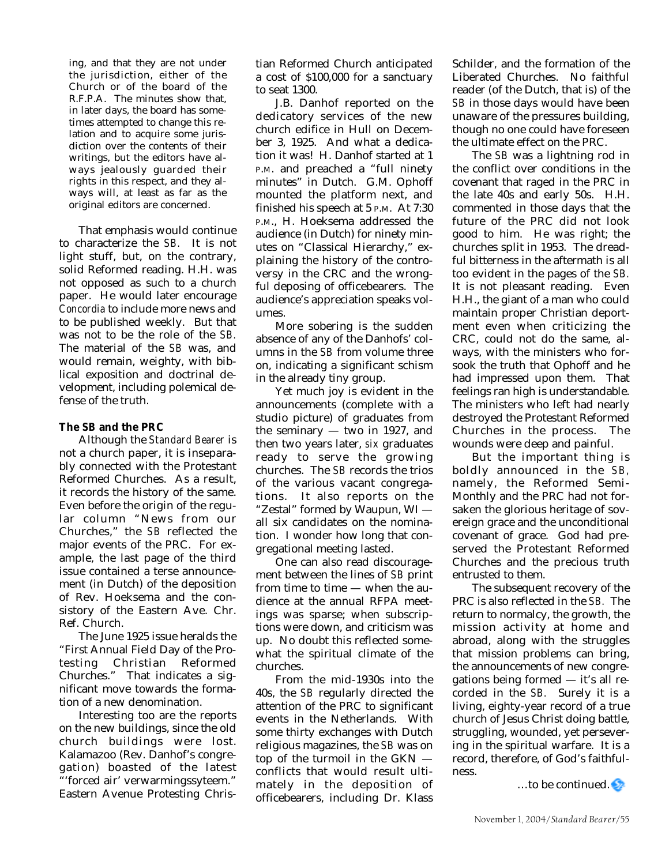ing, and that they are not under the jurisdiction, either of the Church or of the board of the R.F.P.A. The minutes show that, in later days, the board has sometimes attempted to change this relation and to acquire some jurisdiction over the contents of their writings, but the editors have always jealously guarded their rights in this respect, and they always will, at least as far as the original editors are concerned.

That emphasis would continue to characterize the *SB.* It is not light stuff, but, on the contrary, solid Reformed reading. H.H. was not opposed as such to a church paper. He would later encourage *Concordia* to include more news and to be published weekly. But that was not to be the role of the *SB.* The material of the *SB* was, and would remain, weighty, with biblical exposition and doctrinal development, including polemical defense of the truth.

### **The** *SB* **and the PRC**

Although the *Standard Bearer* is not a church paper, it is inseparably connected with the Protestant Reformed Churches. As a result, it records the history of the same. Even before the origin of the regular column "News from our Churches," the *SB* reflected the major events of the PRC. For example, the last page of the third issue contained a terse announcement (in Dutch) of the deposition of Rev. Hoeksema and the consistory of the Eastern Ave. Chr. Ref. Church.

The June 1925 issue heralds the "First Annual Field Day of the Protesting Christian Reformed Churches." That indicates a significant move towards the formation of a new denomination.

Interesting too are the reports on the new buildings, since the old church buildings were lost. Kalamazoo (Rev. Danhof's congregation) boasted of the latest "'forced air' verwarmingssyteem." Eastern Avenue Protesting Christian Reformed Church anticipated a cost of \$100,000 for a sanctuary to seat 1300.

J.B. Danhof reported on the dedicatory services of the new church edifice in Hull on December 3, 1925. And what a dedication it was! H. Danhof started at 1 P.M. and preached a "full ninety minutes" in Dutch. G.M. Ophoff mounted the platform next, and finished his speech at 5 P.M. At 7:30 P.M., H. Hoeksema addressed the audience (in Dutch) for ninety minutes on "Classical Hierarchy," explaining the history of the controversy in the CRC and the wrongful deposing of officebearers. The audience's appreciation speaks volumes.

More sobering is the sudden absence of any of the Danhofs' columns in the *SB* from volume three on, indicating a significant schism in the already tiny group.

Yet much joy is evident in the announcements (complete with a studio picture) of graduates from the seminary — two in 1927, and then two years later, *six* graduates ready to serve the growing churches. The *SB* records the trios of the various vacant congregations. It also reports on the "Zestal" formed by Waupun, WI all six candidates on the nomination. I wonder how long that congregational meeting lasted.

One can also read discouragement between the lines of *SB* print from time to time — when the audience at the annual RFPA meetings was sparse; when subscriptions were down, and criticism was up. No doubt this reflected somewhat the spiritual climate of the churches.

From the mid-1930s into the 40s, the *SB* regularly directed the attention of the PRC to significant events in the Netherlands. With some thirty exchanges with Dutch religious magazines, the *SB* was on top of the turmoil in the GKN conflicts that would result ultimately in the deposition of officebearers, including Dr. Klass

Schilder, and the formation of the Liberated Churches. No faithful reader (of the Dutch, that is) of the *SB* in those days would have been unaware of the pressures building, though no one could have foreseen the ultimate effect on the PRC.

The *SB* was a lightning rod in the conflict over conditions in the covenant that raged in the PRC in the late 40s and early 50s. H.H. commented in those days that the future of the PRC did not look good to him. He was right; the churches split in 1953. The dreadful bitterness in the aftermath is all too evident in the pages of the *SB.* It is not pleasant reading. Even H.H., the giant of a man who could maintain proper Christian deportment even when criticizing the CRC, could not do the same, always, with the ministers who forsook the truth that Ophoff and he had impressed upon them. That feelings ran high is understandable. The ministers who left had nearly destroyed the Protestant Reformed Churches in the process. The wounds were deep and painful.

But the important thing is boldly announced in the *SB,* namely, the Reformed Semi-Monthly and the PRC had not forsaken the glorious heritage of sovereign grace and the unconditional covenant of grace. God had preserved the Protestant Reformed Churches and the precious truth entrusted to them.

The subsequent recovery of the PRC is also reflected in the *SB.* The return to normalcy, the growth, the mission activity at home and abroad, along with the struggles that mission problems can bring, the announcements of new congregations being formed — it's all recorded in the *SB.* Surely it is a living, eighty-year record of a true church of Jesus Christ doing battle, struggling, wounded, yet persevering in the spiritual warfare. It is a record, therefore, of God's faithfulness.

 $\ldots$ to be continued.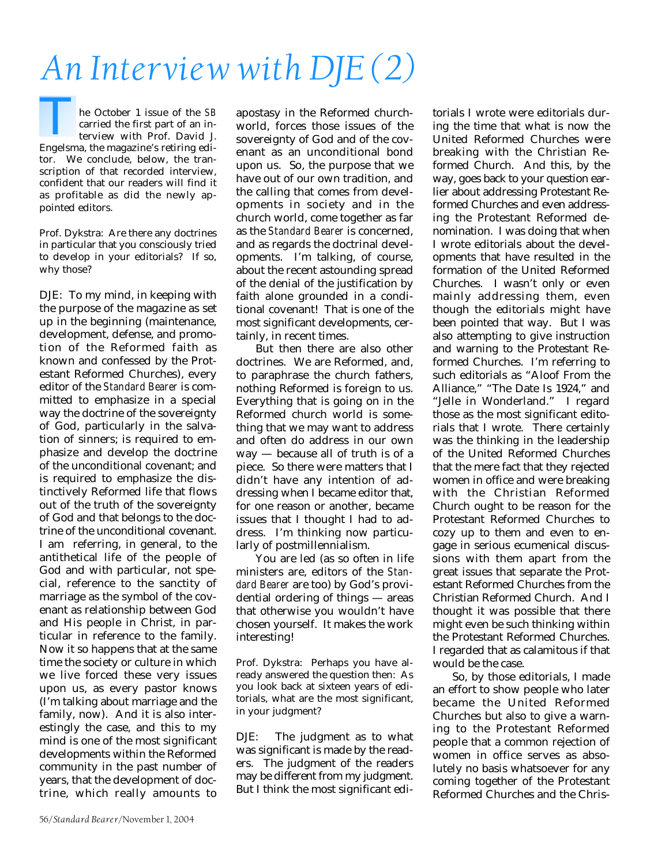# *An Interview with DJE (2)*

he October 1 issue of the *SB* carried the first part of an interview with Prof. David J. The October 1 issue of the *SB*<br>carried the first part of an in-<br>terview with Prof. David J.<br>Engelsma, the magazine's retiring editor. We conclude, below, the transcription of that recorded interview, confident that our readers will find it as profitable as did the newly appointed editors.

Prof. Dykstra: Are there any doctrines in particular that you consciously tried to develop in your editorials? If so, why those?

DJE: To my mind, in keeping with the purpose of the magazine as set up in the beginning (maintenance, development, defense, and promotion of the Reformed faith as known and confessed by the Protestant Reformed Churches), every editor of the *Standard Bearer* is committed to emphasize in a special way the doctrine of the sovereignty of God, particularly in the salvation of sinners; is required to emphasize and develop the doctrine of the unconditional covenant; and is required to emphasize the distinctively Reformed life that flows out of the truth of the sovereignty of God and that belongs to the doctrine of the unconditional covenant. I am referring, in general, to the antithetical life of the people of God and with particular, not special, reference to the sanctity of marriage as the symbol of the covenant as relationship between God and His people in Christ, in particular in reference to the family. Now it so happens that at the same time the society or culture in which we live forced these very issues upon us, as every pastor knows (I'm talking about marriage and the family, now). And it is also interestingly the case, and this to my mind is one of the most significant developments within the Reformed community in the past number of years, that the development of doctrine, which really amounts to

apostasy in the Reformed churchworld, forces those issues of the sovereignty of God and of the covenant as an unconditional bond upon us. So, the purpose that we have out of our own tradition, and the calling that comes from developments in society and in the church world, come together as far as the *Standard Bearer* is concerned, and as regards the doctrinal developments. I'm talking, of course, about the recent astounding spread of the denial of the justification by faith alone grounded in a conditional covenant! That is one of the most significant developments, certainly, in recent times.

But then there are also other doctrines. We are Reformed, and, to paraphrase the church fathers, nothing Reformed is foreign to us. Everything that is going on in the Reformed church world is something that we may want to address and often do address in our own way — because all of truth is of a piece. So there were matters that I didn't have any intention of addressing when I became editor that, for one reason or another, became issues that I thought I had to address. I'm thinking now particularly of postmillennialism.

You are led (as so often in life ministers are, editors of the *Standard Bearer* are too) by God's providential ordering of things — areas that otherwise you wouldn't have chosen yourself. It makes the work interesting!

Prof. Dykstra: Perhaps you have already answered the question then: As you look back at sixteen years of editorials, what are the most significant, in your judgment?

DJE: The judgment as to what was significant is made by the readers. The judgment of the readers may be different from my judgment. But I think the most significant editorials I wrote were editorials during the time that what is now the United Reformed Churches were breaking with the Christian Reformed Church. And this, by the way, goes back to your question earlier about addressing Protestant Reformed Churches and even addressing the Protestant Reformed denomination. I was doing that when I wrote editorials about the developments that have resulted in the formation of the United Reformed Churches. I wasn't only or even mainly addressing them, even though the editorials might have been pointed that way. But I was also attempting to give instruction and warning to the Protestant Reformed Churches. I'm referring to such editorials as "Aloof From the Alliance," "The Date Is 1924," and "Jelle in Wonderland." I regard those as the most significant editorials that I wrote. There certainly was the thinking in the leadership of the United Reformed Churches that the mere fact that they rejected women in office and were breaking with the Christian Reformed Church ought to be reason for the Protestant Reformed Churches to cozy up to them and even to engage in serious ecumenical discussions with them apart from the great issues that separate the Protestant Reformed Churches from the Christian Reformed Church. And I thought it was possible that there might even be such thinking within the Protestant Reformed Churches. I regarded that as calamitous if that would be the case.

So, by those editorials, I made an effort to show people who later became the United Reformed Churches but also to give a warning to the Protestant Reformed people that a common rejection of women in office serves as absolutely no basis whatsoever for any coming together of the Protestant Reformed Churches and the Chris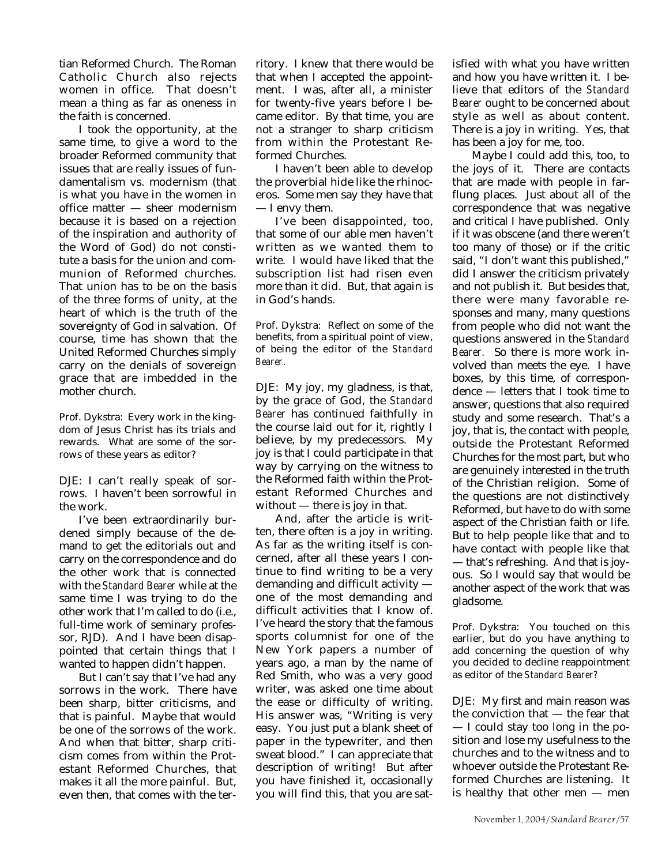tian Reformed Church. The Roman Catholic Church also rejects women in office. That doesn't mean a thing as far as oneness in the faith is concerned.

I took the opportunity, at the same time, to give a word to the broader Reformed community that issues that are really issues of fundamentalism vs. modernism (that is what you have in the women in office matter — sheer modernism because it is based on a rejection of the inspiration and authority of the Word of God) do not constitute a basis for the union and communion of Reformed churches. That union has to be on the basis of the three forms of unity, at the heart of which is the truth of the sovereignty of God in salvation. Of course, time has shown that the United Reformed Churches simply carry on the denials of sovereign grace that are imbedded in the mother church.

Prof. Dykstra: Every work in the kingdom of Jesus Christ has its trials and rewards. What are some of the sorrows of these years as editor?

DJE: I can't really speak of sorrows. I haven't been sorrowful in the work.

I've been extraordinarily burdened simply because of the demand to get the editorials out and carry on the correspondence and do the other work that is connected with the *Standard Bearer* while at the same time I was trying to do the other work that I'm called to do (i.e., full-time work of seminary professor, RJD). And I have been disappointed that certain things that I wanted to happen didn't happen.

But I can't say that I've had any sorrows in the work. There have been sharp, bitter criticisms, and that is painful. Maybe that would be one of the sorrows of the work. And when that bitter, sharp criticism comes from within the Protestant Reformed Churches, that makes it all the more painful. But, even then, that comes with the territory. I knew that there would be that when I accepted the appointment. I was, after all, a minister for twenty-five years before I became editor. By that time, you are not a stranger to sharp criticism from within the Protestant Reformed Churches.

I haven't been able to develop the proverbial hide like the rhinoceros. Some men say they have that — I envy them.

I've been disappointed, too, that some of our able men haven't written as we wanted them to write. I would have liked that the subscription list had risen even more than it did. But, that again is in God's hands.

Prof. Dykstra: Reflect on some of the benefits, from a spiritual point of view, of being the editor of the *Standard Bearer*.

DJE: My joy, my gladness, is that, by the grace of God, the *Standard Bearer* has continued faithfully in the course laid out for it, rightly I believe, by my predecessors. My joy is that I could participate in that way by carrying on the witness to the Reformed faith within the Protestant Reformed Churches and without — there is joy in that.

And, after the article is written, there often is a joy in writing. As far as the writing itself is concerned, after all these years I continue to find writing to be a very demanding and difficult activity one of the most demanding and difficult activities that I know of. I've heard the story that the famous sports columnist for one of the New York papers a number of years ago, a man by the name of Red Smith, who was a very good writer, was asked one time about the ease or difficulty of writing. His answer was, "Writing is very easy. You just put a blank sheet of paper in the typewriter, and then sweat blood." I can appreciate that description of writing! But after you have finished it, occasionally you will find this, that you are sat-

isfied with what you have written and how you have written it. I believe that editors of the *Standard Bearer* ought to be concerned about style as well as about content. There is a joy in writing. Yes, that has been a joy for me, too.

Maybe I could add this, too, to the joys of it. There are contacts that are made with people in farflung places. Just about all of the correspondence that was negative and critical I have published. Only if it was obscene (and there weren't too many of those) or if the critic said, "I don't want this published," did I answer the criticism privately and not publish it. But besides that, there were many favorable responses and many, many questions from people who did not want the questions answered in the *Standard Bearer.* So there is more work involved than meets the eye. I have boxes, by this time, of correspondence — letters that I took time to answer, questions that also required study and some research. That's a joy, that is, the contact with people, outside the Protestant Reformed Churches for the most part, but who are genuinely interested in the truth of the Christian religion. Some of the questions are not distinctively Reformed, but have to do with some aspect of the Christian faith or life. But to help people like that and to have contact with people like that — that's refreshing. And that is joyous. So I would say that would be another aspect of the work that was gladsome.

Prof. Dykstra: You touched on this earlier, but do you have anything to add concerning the question of why you decided to decline reappointment as editor of the *Standard Bearer?*

DJE: My first and main reason was the conviction that — the fear that — I could stay too long in the position and lose my usefulness to the churches and to the witness and to whoever outside the Protestant Reformed Churches are listening. It is healthy that other men — men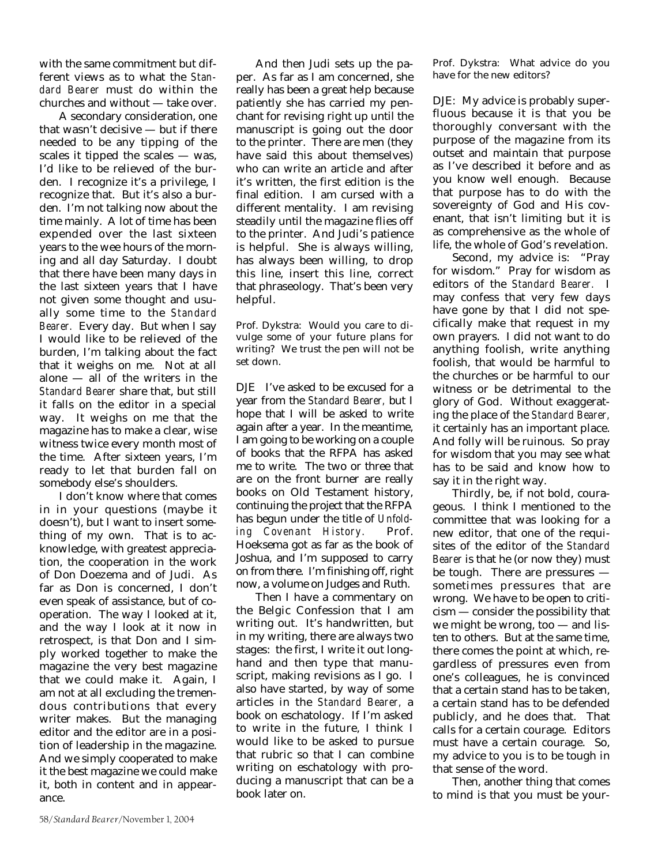with the same commitment but different views as to what the *Standard Bearer* must do within the churches and without — take over.

A secondary consideration, one that wasn't decisive — but if there needed to be any tipping of the scales it tipped the scales — was, I'd like to be relieved of the burden. I recognize it's a privilege, I recognize that. But it's also a burden. I'm not talking now about the time mainly. A lot of time has been expended over the last sixteen years to the wee hours of the morning and all day Saturday. I doubt that there have been many days in the last sixteen years that I have not given some thought and usually some time to the *Standard Bearer.* Every day. But when I say I would like to be relieved of the burden, I'm talking about the fact that it weighs on me. Not at all alone — all of the writers in the *Standard Bearer* share that, but still it falls on the editor in a special way. It weighs on me that the magazine has to make a clear, wise witness twice every month most of the time. After sixteen years, I'm ready to let that burden fall on somebody else's shoulders.

I don't know where that comes in in your questions (maybe it doesn't), but I want to insert something of my own. That is to acknowledge, with greatest appreciation, the cooperation in the work of Don Doezema and of Judi. As far as Don is concerned, I don't even speak of assistance, but of cooperation. The way I looked at it, and the way I look at it now in retrospect, is that Don and I simply worked together to make the magazine the very best magazine that we could make it. Again, I am not at all excluding the tremendous contributions that every writer makes. But the managing editor and the editor are in a position of leadership in the magazine. And we simply cooperated to make it the best magazine we could make it, both in content and in appearance.

And then Judi sets up the paper. As far as I am concerned, she really has been a great help because patiently she has carried my penchant for revising right up until the manuscript is going out the door to the printer. There are men (they have said this about themselves) who can write an article and after it's written, the first edition is the final edition. I am cursed with a different mentality. I am revising steadily until the magazine flies off to the printer. And Judi's patience is helpful. She is always willing, has always been willing, to drop this line, insert this line, correct that phraseology. That's been very helpful.

Prof. Dykstra: Would you care to divulge some of your future plans for writing? We trust the pen will not be set down.

DJE I've asked to be excused for a year from the *Standard Bearer,* but I hope that I will be asked to write again after a year. In the meantime, I am going to be working on a couple of books that the RFPA has asked me to write. The two or three that are on the front burner are really books on Old Testament history, continuing the project that the RFPA has begun under the title of *Unfolding Covenant History.* Prof. Hoeksema got as far as the book of Joshua, and I'm supposed to carry on from there. I'm finishing off, right now, a volume on Judges and Ruth.

Then I have a commentary on the Belgic Confession that I am writing out. It's handwritten, but in my writing, there are always two stages: the first, I write it out longhand and then type that manuscript, making revisions as I go. I also have started, by way of some articles in the *Standard Bearer,* a book on eschatology. If I'm asked to write in the future, I think I would like to be asked to pursue that rubric so that I can combine writing on eschatology with producing a manuscript that can be a book later on.

Prof. Dykstra: What advice do you have for the new editors?

DJE: My advice is probably superfluous because it is that you be thoroughly conversant with the purpose of the magazine from its outset and maintain that purpose as I've described it before and as you know well enough. Because that purpose has to do with the sovereignty of God and His covenant, that isn't limiting but it is as comprehensive as the whole of life, the whole of God's revelation.

Second, my advice is: "Pray for wisdom." Pray for wisdom as editors of the *Standard Bearer.* I may confess that very few days have gone by that I did not specifically make that request in my own prayers. I did not want to do anything foolish, write anything foolish, that would be harmful to the churches or be harmful to our witness or be detrimental to the glory of God. Without exaggerating the place of the *Standard Bearer,* it certainly has an important place. And folly will be ruinous. So pray for wisdom that you may see what has to be said and know how to say it in the right way.

Thirdly, be, if not bold, courageous. I think I mentioned to the committee that was looking for a new editor, that one of the requisites of the editor of the *Standard Bearer* is that he (or now they) must be tough. There are pressures sometimes pressures that are wrong. We have to be open to criticism — consider the possibility that we might be wrong, too — and listen to others. But at the same time, there comes the point at which, regardless of pressures even from one's colleagues, he is convinced that a certain stand has to be taken, a certain stand has to be defended publicly, and he does that. That calls for a certain courage. Editors must have a certain courage. So, my advice to you is to be tough in that sense of the word.

Then, another thing that comes to mind is that you must be your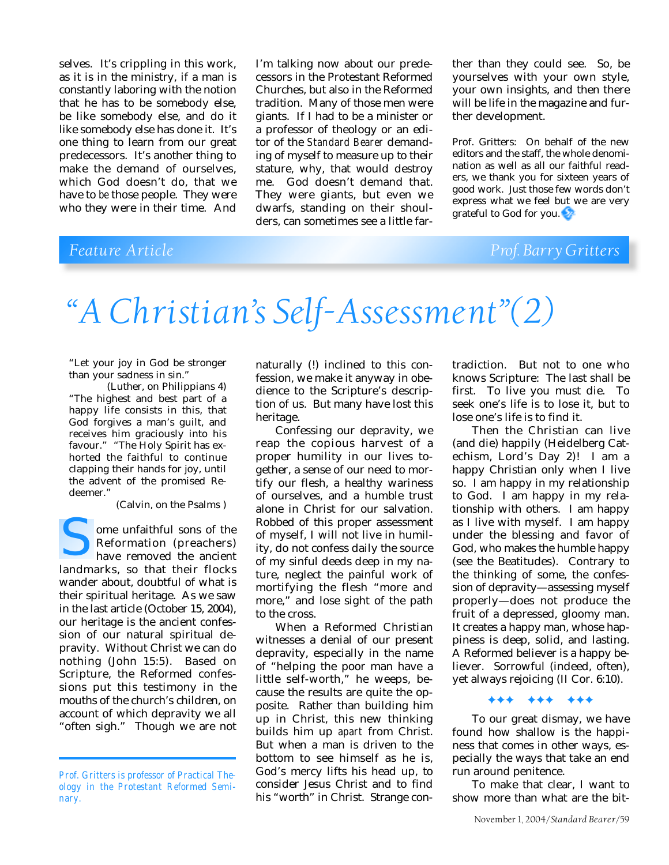selves. It's crippling in this work, as it is in the ministry, if a man is constantly laboring with the notion that he has to be somebody else, be like somebody else, and do it like somebody else has done it. It's one thing to learn from our great predecessors. It's another thing to make the demand of ourselves, which God doesn't do, that we have to *be* those people. They were who they were in their time. And

I'm talking now about our predecessors in the Protestant Reformed Churches, but also in the Reformed tradition. Many of those men were giants. If I had to be a minister or a professor of theology or an editor of the *Standard Bearer* demanding of myself to measure up to their stature, why, that would destroy me. God doesn't demand that. They were giants, but even we dwarfs, standing on their shoulders, can sometimes see a little far-

ther than they could see. So, be yourselves with your own style, your own insights, and then there will be life in the magazine and further development.

Prof. Gritters: On behalf of the new editors and the staff, the whole denomination as well as all our faithful readers, we thank you for sixteen years of good work. Just those few words don't express what we feel but we are very grateful to God for you.

## *Feature Article Prof. Barry Gritters*

# *"A Christian's Self-Assessment"(2)*

"Let your joy in God be stronger than your sadness in sin."

(Luther, on Philippians 4) "The highest and best part of a happy life consists in this, that God forgives a man's guilt, and receives him graciously into his favour." "The Holy Spirit has exhorted the faithful to continue clapping their hands for joy, until the advent of the promised Redeemer."

(Calvin, on the Psalms )

ome unfaithful sons of the Reformation (preachers) have removed the ancient ome unfaithful sons of the<br>Reformation (preachers)<br>have removed the ancient<br>landmarks, so that their flocks wander about, doubtful of what is their spiritual heritage. As we saw in the last article (October 15, 2004), our heritage is the ancient confession of our natural spiritual depravity. Without Christ we can do nothing (John 15:5). Based on Scripture, the Reformed confessions put this testimony in the mouths of the church's children, on account of which depravity we all "often sigh." Though we are not

naturally (!) inclined to this confession, we make it anyway in obedience to the Scripture's description of us. But many have lost this heritage.

Confessing our depravity, we reap the copious harvest of a proper humility in our lives together, a sense of our need to mortify our flesh, a healthy wariness of ourselves, and a humble trust alone in Christ for our salvation. Robbed of this proper assessment of myself, I will not live in humility, do not confess daily the source of my sinful deeds deep in my nature, neglect the painful work of mortifying the flesh "more and more," and lose sight of the path to the cross.

When a Reformed Christian witnesses a denial of our present depravity, especially in the name of "helping the poor man have a little self-worth," he weeps, because the results are quite the opposite. Rather than building him up in Christ, this new thinking builds him up *apart* from Christ. But when a man is driven to the bottom to see himself as he is, God's mercy lifts his head up, to consider Jesus Christ and to find his "worth" in Christ. Strange con-

tradiction. But not to one who knows Scripture: The last shall be first. To live you must die. To seek one's life is to lose it, but to lose one's life is to find it.

Then the Christian can live (and die) happily (Heidelberg Catechism, Lord's Day 2)! I am a happy Christian only when I live so. I am happy in my relationship to God. I am happy in my relationship with others. I am happy as I live with myself. I am happy under the blessing and favor of God, who makes the humble happy (see the Beatitudes). Contrary to the thinking of some, the confession of depravity—assessing myself properly—does not produce the fruit of a depressed, gloomy man. It creates a happy man, whose happiness is deep, solid, and lasting. A Reformed believer is a happy believer. Sorrowful (indeed, often), yet always rejoicing (II Cor. 6:10).

### ✦✦✦ ✦✦✦ ✦✦✦

To our great dismay, we have found how shallow is the happiness that comes in other ways, especially the ways that take an end run around penitence.

To make that clear, I want to show more than what are the bit-

*Prof. Gritters is professor of Practical Theology in the Protestant Reformed Seminary.*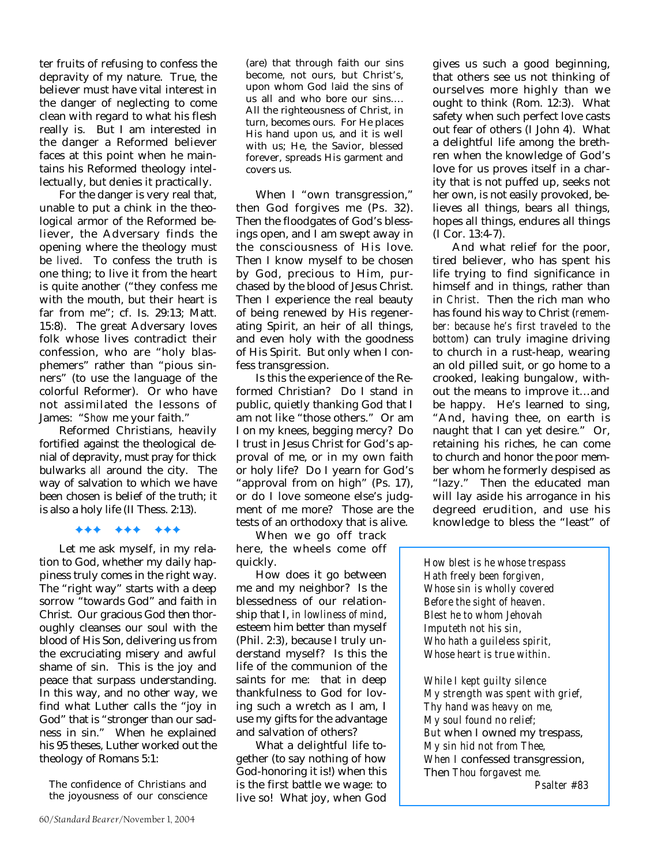ter fruits of refusing to confess the depravity of my nature. True, the believer must have vital interest in the danger of neglecting to come clean with regard to what his flesh really is. But I am interested in the danger a Reformed believer faces at this point when he maintains his Reformed theology intellectually, but denies it practically.

For the danger is very real that, unable to put a chink in the theological armor of the Reformed believer, the Adversary finds the opening where the theology must be *lived*. To confess the truth is one thing; to live it from the heart is quite another ("they confess me with the mouth, but their heart is far from me"; cf. Is. 29:13; Matt. 15:8). The great Adversary loves folk whose lives contradict their confession, who are "holy blasphemers" rather than "pious sinners" (to use the language of the colorful Reformer). Or who have not assimilated the lessons of James: "*Show* me your faith."

Reformed Christians, heavily fortified against the theological denial of depravity, must pray for thick bulwarks *all* around the city. The way of salvation to which we have been chosen is belief of the truth; it is also a holy life (II Thess. 2:13).

### ✦✦✦ ✦✦✦ ✦✦✦

Let me ask myself, in my relation to God, whether my daily happiness truly comes in the right way. The "right way" starts with a deep sorrow "towards God" and faith in Christ. Our gracious God then thoroughly cleanses our soul with the blood of His Son, delivering us from the excruciating misery and awful shame of sin. This is the joy and peace that surpass understanding. In this way, and no other way, we find what Luther calls the "joy in God" that is "stronger than our sadness in sin." When he explained his 95 theses, Luther worked out the theology of Romans 5:1:

The confidence of Christians and the joyousness of our conscience

(are) that through faith our sins become, not ours, but Christ's, upon whom God laid the sins of us all and who bore our sins…. All the righteousness of Christ, in turn, becomes ours. For He places His hand upon us, and it is well with us; He, the Savior, blessed forever, spreads His garment and covers us.

When I "own transgression," then God forgives me (Ps. 32). Then the floodgates of God's blessings open, and I am swept away in the consciousness of His love. Then I know myself to be chosen by God, precious to Him, purchased by the blood of Jesus Christ. Then I experience the real beauty of being renewed by His regenerating Spirit, an heir of all things, and even holy with the goodness of His Spirit. But only when I confess transgression.

Is this the experience of the Reformed Christian? Do I stand in public, quietly thanking God that I am not like "those others." Or am I on my knees, begging mercy? Do I trust in Jesus Christ for God's approval of me, or in my own faith or holy life? Do I yearn for God's "approval from on high" (Ps. 17), or do I love someone else's judgment of me more? Those are the tests of an orthodoxy that is alive.

When we go off track here, the wheels come off quickly.

How does it go between me and my neighbor? Is the blessedness of our relationship that I, *in lowliness of mind*, esteem him better than myself (Phil. 2:3), because I truly understand myself? Is this the life of the communion of the saints for me: that in deep thankfulness to God for loving such a wretch as I am, I use my gifts for the advantage and salvation of others?

What a delightful life together (to say nothing of how God-honoring it is!) when this is the first battle we wage: to live so! What joy, when God

gives us such a good beginning, that others see us not thinking of ourselves more highly than we ought to think (Rom. 12:3). What safety when such perfect love casts out fear of others (I John 4). What a delightful life among the brethren when the knowledge of God's love for us proves itself in a charity that is not puffed up, seeks not her own, is not easily provoked, believes all things, bears all things, hopes all things, endures all things (I Cor. 13:4-7).

And what relief for the poor, tired believer, who has spent his life trying to find significance in himself and in things, rather than in *Christ*. Then the rich man who has found his way to Christ (*remember: because he's first traveled to the bottom*) can truly imagine driving to church in a rust-heap, wearing an old pilled suit, or go home to a crooked, leaking bungalow, without the means to improve it…and be happy. He's learned to sing, "And, having thee, on earth is naught that I can yet desire." Or, retaining his riches, he can come to church and honor the poor member whom he formerly despised as "lazy." Then the educated man will lay aside his arrogance in his degreed erudition, and use his knowledge to bless the "least" of

*How blest is he whose trespass Hath freely been forgiven, Whose sin is wholly covered Before the sight of heaven. Blest he to whom Jehovah Imputeth not his sin, Who hath a guileless spirit, Whose heart is true within.*

*While I kept guilty silence My strength was spent with grief, Thy hand was heavy on me, My soul found no relief; But* when I owned my trespass, *My sin hid not from Thee, When I* confessed transgression, Then *Thou forgavest me.*

*Psalter #83*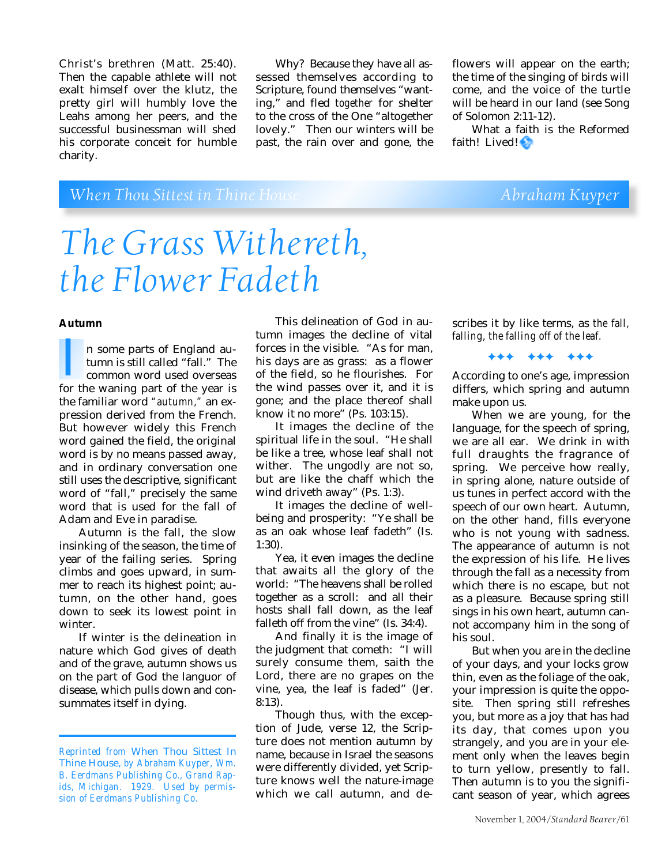Christ's brethren (Matt. 25:40). Then the capable athlete will not exalt himself over the klutz, the pretty girl will humbly love the Leahs among her peers, and the successful businessman will shed his corporate conceit for humble charity.

Why? Because they have all assessed themselves according to Scripture, found themselves "wanting," and fled *together* for shelter to the cross of the One "altogether lovely." Then our winters will be past, the rain over and gone, the flowers will appear on the earth; the time of the singing of birds will come, and the voice of the turtle will be heard in our land (see Song of Solomon 2:11-12).

What a faith is the Reformed faith! Lived!

# *When Thou Sittest in Thine House* **Abraham Kuyper** Abraham Kuyper

# *The Grass Withereth, the Flower Fadeth*

### **Autumn**

n some parts of England autumn is still called "fall." The common word used overseas n some parts of England autumn is still called "fall." The<br>
common word used overseas<br>
for the waning part of the year is the familiar word *"autumn,"* an expression derived from the French. But however widely this French word gained the field, the original word is by no means passed away, and in ordinary conversation one still uses the descriptive, significant word of "fall," precisely the same word that is used for the fall of Adam and Eve in paradise.

Autumn is the fall, the slow insinking of the season, the time of year of the failing series. Spring climbs and goes upward, in summer to reach its highest point; autumn, on the other hand, goes down to seek its lowest point in winter.

If winter is the delineation in nature which God gives of death and of the grave, autumn shows us on the part of God the languor of disease, which pulls down and consummates itself in dying.

This delineation of God in autumn images the decline of vital forces in the visible. "As for man, his days are as grass: as a flower of the field, so he flourishes. For the wind passes over it, and it is gone; and the place thereof shall know it no more" (Ps. 103:15).

It images the decline of the spiritual life in the soul. "He shall be like a tree, whose leaf shall not wither. The ungodly are not so, but are like the chaff which the wind driveth away" (Ps. 1:3).

It images the decline of wellbeing and prosperity: "Ye shall be as an oak whose leaf fadeth" (Is. 1:30).

Yea, it even images the decline that awaits all the glory of the world: "The heavens shall be rolled together as a scroll: and all their hosts shall fall down, as the leaf falleth off from the vine" (Is. 34:4).

And finally it is the image of the judgment that cometh: "I will surely consume them, saith the Lord, there are no grapes on the vine, yea, the leaf is faded" (Jer. 8:13).

Though thus, with the exception of Jude, verse 12, the Scripture does not mention autumn by name, because in Israel the seasons were differently divided, yet Scripture knows well the nature-image which we call autumn, and de-

scribes it by like terms, as *the fall, falling, the falling off of the leaf.*

✦✦✦ ✦✦✦ ✦✦✦

According to one's age, impression differs, which spring and autumn make upon us.

When we are young, for the language, for the speech of spring, we are all ear. We drink in with full draughts the fragrance of spring. We perceive how really, in spring alone, nature outside of us tunes in perfect accord with the speech of our own heart. Autumn, on the other hand, fills everyone who is not young with sadness. The appearance of autumn is not the expression of his life. He lives through the fall as a necessity from which there is no escape, but not as a pleasure. Because spring still sings in his own heart, autumn cannot accompany him in the song of his soul.

But when you are in the decline of your days, and your locks grow thin, even as the foliage of the oak, your impression is quite the opposite. Then spring still refreshes you, but more as a joy that has had its day, that comes upon you strangely, and you are in your element only when the leaves begin to turn yellow, presently to fall. Then autumn is to you the significant season of year, which agrees

*Reprinted from* When Thou Sittest In Thine House, *by Abraham Kuyper, Wm. B. Eerdmans Publishing Co., Grand Rapids, Michigan. 1929. Used by permission of Eerdmans Publishing Co.*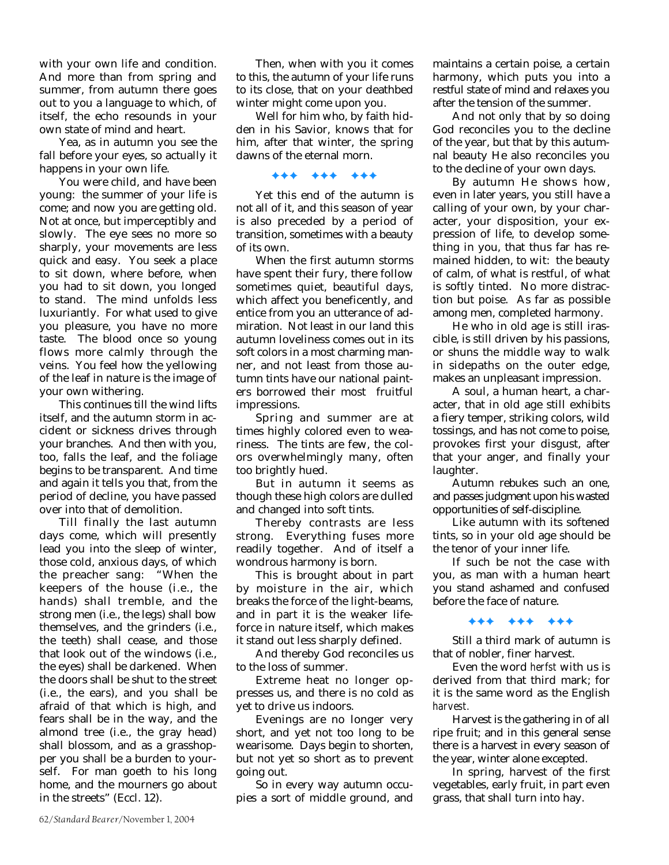with your own life and condition. And more than from spring and summer, from autumn there goes out to you a language to which, of itself, the echo resounds in your own state of mind and heart.

Yea, as in autumn you see the fall before your eyes, so actually it happens in your own life.

You were child, and have been young: the summer of your life is come; and now you are getting old. Not at once, but imperceptibly and slowly. The eye sees no more so sharply, your movements are less quick and easy. You seek a place to sit down, where before, when you had to sit down, you longed to stand. The mind unfolds less luxuriantly. For what used to give you pleasure, you have no more taste. The blood once so young flows more calmly through the veins. You feel how the yellowing of the leaf in nature is the image of your own withering.

This continues till the wind lifts itself, and the autumn storm in accident or sickness drives through your branches. And then with you, too, falls the leaf, and the foliage begins to be transparent. And time and again it tells you that, from the period of decline, you have passed over into that of demolition.

Till finally the last autumn days come, which will presently lead you into the sleep of winter, those cold, anxious days, of which the preacher sang: "When the keepers of the house (i.e., the hands) shall tremble, and the strong men (i.e., the legs) shall bow themselves, and the grinders (i.e., the teeth) shall cease, and those that look out of the windows (i.e., the eyes) shall be darkened. When the doors shall be shut to the street (i.e., the ears), and you shall be afraid of that which is high, and fears shall be in the way, and the almond tree (i.e., the gray head) shall blossom, and as a grasshopper you shall be a burden to yourself. For man goeth to his long home, and the mourners go about in the streets" (Eccl. 12).

Then, when with you it comes to this, the autumn of your life runs to its close, that on your deathbed winter might come upon you.

Well for him who, by faith hidden in his Savior, knows that for him, after that winter, the spring dawns of the eternal morn.

### ✦✦✦ ✦✦✦ ✦✦✦

Yet this end of the autumn is not all of it, and this season of year is also preceded by a period of transition, sometimes with a beauty of its own.

When the first autumn storms have spent their fury, there follow sometimes quiet, beautiful days, which affect you beneficently, and entice from you an utterance of admiration. Not least in our land this autumn loveliness comes out in its soft colors in a most charming manner, and not least from those autumn tints have our national painters borrowed their most fruitful impressions.

Spring and summer are at times highly colored even to weariness. The tints are few, the colors overwhelmingly many, often too brightly hued.

But in autumn it seems as though these high colors are dulled and changed into soft tints.

Thereby contrasts are less strong. Everything fuses more readily together. And of itself a wondrous harmony is born.

This is brought about in part by moisture in the air, which breaks the force of the light-beams, and in part it is the weaker lifeforce in nature itself, which makes it stand out less sharply defined.

And thereby God reconciles us to the loss of summer.

Extreme heat no longer oppresses us, and there is no cold as yet to drive us indoors.

Evenings are no longer very short, and yet not too long to be wearisome. Days begin to shorten, but not yet so short as to prevent going out.

So in every way autumn occupies a sort of middle ground, and maintains a certain poise, a certain harmony, which puts you into a restful state of mind and relaxes you after the tension of the summer.

And not only that by so doing God reconciles you to the decline of the year, but that by this autumnal beauty He also reconciles you to the decline of your own days.

By autumn He shows how, even in later years, you still have a calling of your own, by your character, your disposition, your expression of life, to develop something in you, that thus far has remained hidden, to wit: the beauty of calm, of what is restful, of what is softly tinted. No more distraction but poise. As far as possible among men, completed harmony.

He who in old age is still irascible, is still driven by his passions, or shuns the middle way to walk in sidepaths on the outer edge, makes an unpleasant impression.

A soul, a human heart, a character, that in old age still exhibits a fiery temper, striking colors, wild tossings, and has not come to poise, provokes first your disgust, after that your anger, and finally your laughter.

Autumn rebukes such an one, and passes judgment upon his wasted opportunities of self-discipline.

Like autumn with its softened tints, so in your old age should be the tenor of your inner life.

If such be not the case with you, as man with a human heart you stand ashamed and confused before the face of nature.

✦✦✦ ✦✦✦ ✦✦✦

Still a third mark of autumn is that of nobler, finer harvest.

Even the word *herfst* with us is derived from that third mark; for it is the same word as the English *harvest.*

Harvest is the gathering in of all ripe fruit; and in this general sense there is a harvest in every season of the year, winter alone excepted.

In spring, harvest of the first vegetables, early fruit, in part even grass, that shall turn into hay.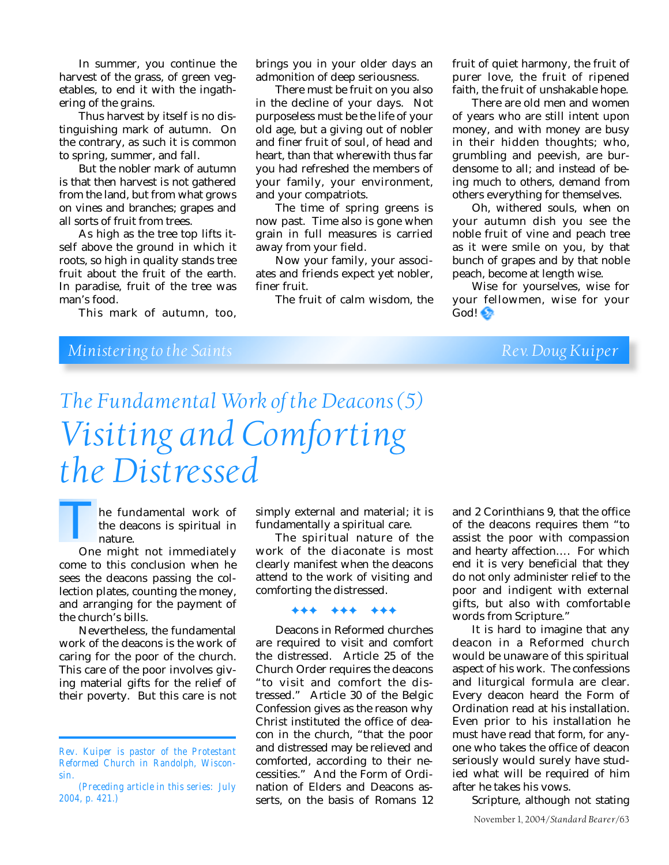In summer, you continue the harvest of the grass, of green vegetables, to end it with the ingathering of the grains.

Thus harvest by itself is no distinguishing mark of autumn. On the contrary, as such it is common to spring, summer, and fall.

But the nobler mark of autumn is that then harvest is not gathered from the land, but from what grows on vines and branches; grapes and all sorts of fruit from trees.

As high as the tree top lifts itself above the ground in which it roots, so high in quality stands tree fruit about the fruit of the earth. In paradise, fruit of the tree was man's food.

This mark of autumn, too,

brings you in your older days an admonition of deep seriousness.

There must be fruit on you also in the decline of your days. Not purposeless must be the life of your old age, but a giving out of nobler and finer fruit of soul, of head and heart, than that wherewith thus far you had refreshed the members of your family, your environment, and your compatriots.

The time of spring greens is now past. Time also is gone when grain in full measures is carried away from your field.

Now your family, your associates and friends expect yet nobler, finer fruit.

The fruit of calm wisdom, the

fruit of quiet harmony, the fruit of purer love, the fruit of ripened faith, the fruit of unshakable hope.

There are old men and women of years who are still intent upon money, and with money are busy in their hidden thoughts; who, grumbling and peevish, are burdensome to all; and instead of being much to others, demand from others everything for themselves.

Oh, withered souls, when on your autumn dish you see the noble fruit of vine and peach tree as it were smile on you, by that bunch of grapes and by that noble peach, become at length wise.

Wise for yourselves, wise for your fellowmen, wise for your God!

# *Ministering to the Saints Rev. Doug Kuiper*

# *The Fundamental Work of the Deacons (5) Visiting and Comforting the Distressed*

he fundamental work of the deacons is spiritual in nature. The fundamental work of<br>the deacons is spiritual in<br>nature.<br>One might not immediately

come to this conclusion when he sees the deacons passing the collection plates, counting the money, and arranging for the payment of the church's bills.

Nevertheless, the fundamental work of the deacons is the work of caring for the poor of the church. This care of the poor involves giving material gifts for the relief of their poverty. But this care is not

simply external and material; it is fundamentally a spiritual care.

The spiritual nature of the work of the diaconate is most clearly manifest when the deacons attend to the work of visiting and comforting the distressed.

✦✦✦ ✦✦✦ ✦✦✦

Deacons in Reformed churches are required to visit and comfort the distressed. Article 25 of the Church Order requires the deacons "to visit and comfort the distressed." Article 30 of the Belgic Confession gives as the reason why Christ instituted the office of deacon in the church, "that the poor and distressed may be relieved and comforted, according to their necessities." And the Form of Ordination of Elders and Deacons asserts, on the basis of Romans 12

and 2 Corinthians 9, that the office of the deacons requires them "to assist the poor with compassion and hearty affection…. For which end it is very beneficial that they do not only administer relief to the poor and indigent with external gifts, but also with comfortable words from Scripture."

It is hard to imagine that any deacon in a Reformed church would be unaware of this spiritual aspect of his work. The confessions and liturgical formula are clear. Every deacon heard the Form of Ordination read at his installation. Even prior to his installation he must have read that form, for anyone who takes the office of deacon seriously would surely have studied what will be required of him after he takes his vows.

Scripture, although not stating

*Rev. Kuiper is pastor of the Protestant Reformed Church in Randolph, Wisconsin.*

*<sup>(</sup>Preceding article in this series: July 2004, p. 421.)*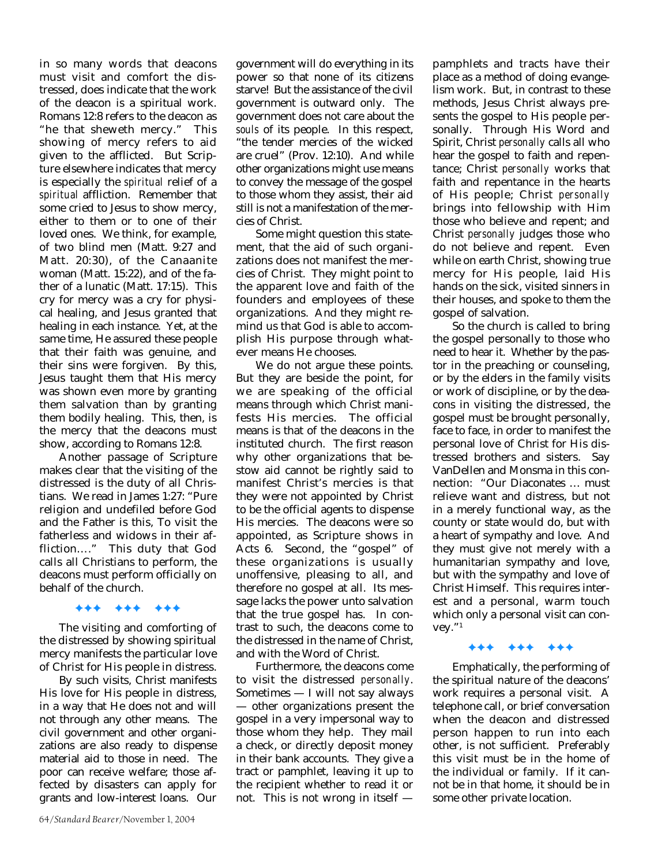in so many words that deacons must visit and comfort the distressed, does indicate that the work of the deacon is a spiritual work. Romans 12:8 refers to the deacon as "he that sheweth mercy." This showing of mercy refers to aid given to the afflicted. But Scripture elsewhere indicates that mercy is especially the *spiritual* relief of a *spiritual* affliction. Remember that some cried to Jesus to show mercy, either to them or to one of their loved ones. We think, for example, of two blind men (Matt. 9:27 and Matt. 20:30), of the Canaanite woman (Matt. 15:22), and of the father of a lunatic (Matt. 17:15). This cry for mercy was a cry for physical healing, and Jesus granted that healing in each instance. Yet, at the same time, He assured these people that their faith was genuine, and their sins were forgiven. By this, Jesus taught them that His mercy was shown even more by granting them salvation than by granting them bodily healing. This, then, is the mercy that the deacons must show, according to Romans 12:8.

Another passage of Scripture makes clear that the visiting of the distressed is the duty of all Christians. We read in James 1:27: "Pure religion and undefiled before God and the Father is this, To visit the fatherless and widows in their affliction…." This duty that God calls all Christians to perform, the deacons must perform officially on behalf of the church.

### ✦✦✦ ✦✦✦ ✦✦✦

The visiting and comforting of the distressed by showing spiritual mercy manifests the particular love of Christ for His people in distress.

By such visits, Christ manifests His love for His people in distress, in a way that He does not and will not through any other means. The civil government and other organizations are also ready to dispense material aid to those in need. The poor can receive welfare; those affected by disasters can apply for grants and low-interest loans. Our

government will do everything in its power so that none of its citizens starve! But the assistance of the civil government is outward only. The government does not care about the *souls* of its people. In this respect, "the tender mercies of the wicked are cruel" (Prov. 12:10). And while other organizations might use means to convey the message of the gospel to those whom they assist, their aid still is not a manifestation of the mercies of Christ.

Some might question this statement, that the aid of such organizations does not manifest the mercies of Christ. They might point to the apparent love and faith of the founders and employees of these organizations. And they might remind us that God is able to accomplish His purpose through whatever means He chooses.

We do not argue these points. But they are beside the point, for we are speaking of the official means through which Christ manifests His mercies. The official means is that of the deacons in the instituted church. The first reason why other organizations that bestow aid cannot be rightly said to manifest Christ's mercies is that they were not appointed by Christ to be the official agents to dispense His mercies. The deacons were so appointed, as Scripture shows in Acts 6. Second, the "gospel" of these organizations is usually unoffensive, pleasing to all, and therefore no gospel at all. Its message lacks the power unto salvation that the true gospel has. In contrast to such, the deacons come to the distressed in the name of Christ, and with the Word of Christ.

Furthermore, the deacons come to visit the distressed *personally*. Sometimes — I will not say always — other organizations present the gospel in a very impersonal way to those whom they help. They mail a check, or directly deposit money in their bank accounts. They give a tract or pamphlet, leaving it up to the recipient whether to read it or not. This is not wrong in itself —

pamphlets and tracts have their place as a method of doing evangelism work. But, in contrast to these methods, Jesus Christ always presents the gospel to His people personally. Through His Word and Spirit, Christ *personally* calls all who hear the gospel to faith and repentance; Christ *personally* works that faith and repentance in the hearts of His people; Christ *personally* brings into fellowship with Him those who believe and repent; and Christ *personally* judges those who do not believe and repent. Even while on earth Christ, showing true mercy for His people, laid His hands on the sick, visited sinners in their houses, and spoke to them the gospel of salvation.

So the church is called to bring the gospel personally to those who need to hear it. Whether by the pastor in the preaching or counseling, or by the elders in the family visits or work of discipline, or by the deacons in visiting the distressed, the gospel must be brought personally, face to face, in order to manifest the personal love of Christ for His distressed brothers and sisters. Say VanDellen and Monsma in this connection: "Our Diaconates … must relieve want and distress, but not in a merely functional way, as the county or state would do, but with a heart of sympathy and love. And they must give not merely with a humanitarian sympathy and love, but with the sympathy and love of Christ Himself. This requires interest and a personal, warm touch which only a personal visit can convey."1

### ✦✦✦ ✦✦✦ ✦✦✦

Emphatically, the performing of the spiritual nature of the deacons' work requires a personal visit. A telephone call, or brief conversation when the deacon and distressed person happen to run into each other, is not sufficient. Preferably this visit must be in the home of the individual or family. If it cannot be in that home, it should be in some other private location.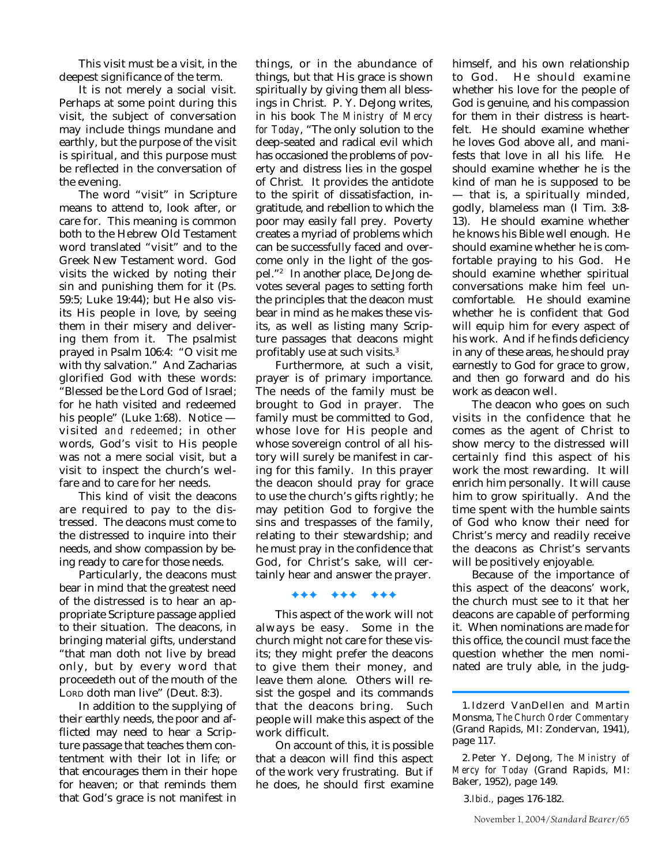This visit must be a visit, in the deepest significance of the term.

It is not merely a social visit. Perhaps at some point during this visit, the subject of conversation may include things mundane and earthly, but the purpose of the visit is spiritual, and this purpose must be reflected in the conversation of the evening.

The word "visit" in Scripture means to attend to, look after, or care for. This meaning is common both to the Hebrew Old Testament word translated "visit" and to the Greek New Testament word. God visits the wicked by noting their sin and punishing them for it (Ps. 59:5; Luke 19:44); but He also visits His people in love, by seeing them in their misery and delivering them from it. The psalmist prayed in Psalm 106:4: "O visit me with thy salvation." And Zacharias glorified God with these words: "Blessed be the Lord God of Israel; for he hath visited and redeemed his people" (Luke 1:68). Notice visited *and redeemed*; in other words, God's visit to His people was not a mere social visit, but a visit to inspect the church's welfare and to care for her needs.

This kind of visit the deacons are required to pay to the distressed. The deacons must come to the distressed to inquire into their needs, and show compassion by being ready to care for those needs.

Particularly, the deacons must bear in mind that the greatest need of the distressed is to hear an appropriate Scripture passage applied to their situation. The deacons, in bringing material gifts, understand "that man doth not live by bread only, but by every word that proceedeth out of the mouth of the LORD doth man live" (Deut. 8:3).

In addition to the supplying of their earthly needs, the poor and afflicted may need to hear a Scripture passage that teaches them contentment with their lot in life; or that encourages them in their hope for heaven; or that reminds them that God's grace is not manifest in

things, or in the abundance of things, but that His grace is shown spiritually by giving them all blessings in Christ. P. Y. DeJong writes, in his book *The Ministry of Mercy for Today*, "The only solution to the deep-seated and radical evil which has occasioned the problems of poverty and distress lies in the gospel of Christ. It provides the antidote to the spirit of dissatisfaction, ingratitude, and rebellion to which the poor may easily fall prey. Poverty creates a myriad of problems which can be successfully faced and overcome only in the light of the gospel."2 In another place, De Jong devotes several pages to setting forth the principles that the deacon must bear in mind as he makes these visits, as well as listing many Scripture passages that deacons might profitably use at such visits.3

Furthermore, at such a visit, prayer is of primary importance. The needs of the family must be brought to God in prayer. The family must be committed to God, whose love for His people and whose sovereign control of all history will surely be manifest in caring for this family. In this prayer the deacon should pray for grace to use the church's gifts rightly; he may petition God to forgive the sins and trespasses of the family, relating to their stewardship; and he must pray in the confidence that God, for Christ's sake, will certainly hear and answer the prayer.

### ✦✦✦ ✦✦✦ ✦✦✦

This aspect of the work will not always be easy. Some in the church might not care for these visits; they might prefer the deacons to give them their money, and leave them alone. Others will resist the gospel and its commands that the deacons bring. Such people will make this aspect of the work difficult.

On account of this, it is possible that a deacon will find this aspect of the work very frustrating. But if he does, he should first examine

himself, and his own relationship to God. He should examine whether his love for the people of God is genuine, and his compassion for them in their distress is heartfelt. He should examine whether he loves God above all, and manifests that love in all his life. He should examine whether he is the kind of man he is supposed to be — that is, a spiritually minded, godly, blameless man (I Tim. 3:8- 13). He should examine whether he knows his Bible well enough. He should examine whether he is comfortable praying to his God. He should examine whether spiritual conversations make him feel uncomfortable. He should examine whether he is confident that God will equip him for every aspect of his work. And if he finds deficiency in any of these areas, he should pray earnestly to God for grace to grow, and then go forward and do his work as deacon well.

The deacon who goes on such visits in the confidence that he comes as the agent of Christ to show mercy to the distressed will certainly find this aspect of his work the most rewarding. It will enrich him personally. It will cause him to grow spiritually. And the time spent with the humble saints of God who know their need for Christ's mercy and readily receive the deacons as Christ's servants will be positively enjoyable.

Because of the importance of this aspect of the deacons' work, the church must see to it that her deacons are capable of performing it. When nominations are made for this office, the council must face the question whether the men nominated are truly able, in the judg-

<sup>1.</sup> Idzerd VanDellen and Martin Monsma, *The Church Order Commentary* (Grand Rapids, MI: Zondervan, 1941), page 117.

<sup>2.</sup> Peter Y. DeJong, *The Ministry of Mercy for Today* (Grand Rapids, MI: Baker, 1952), page 149.

<sup>3.</sup>*Ibid.,* pages 176-182.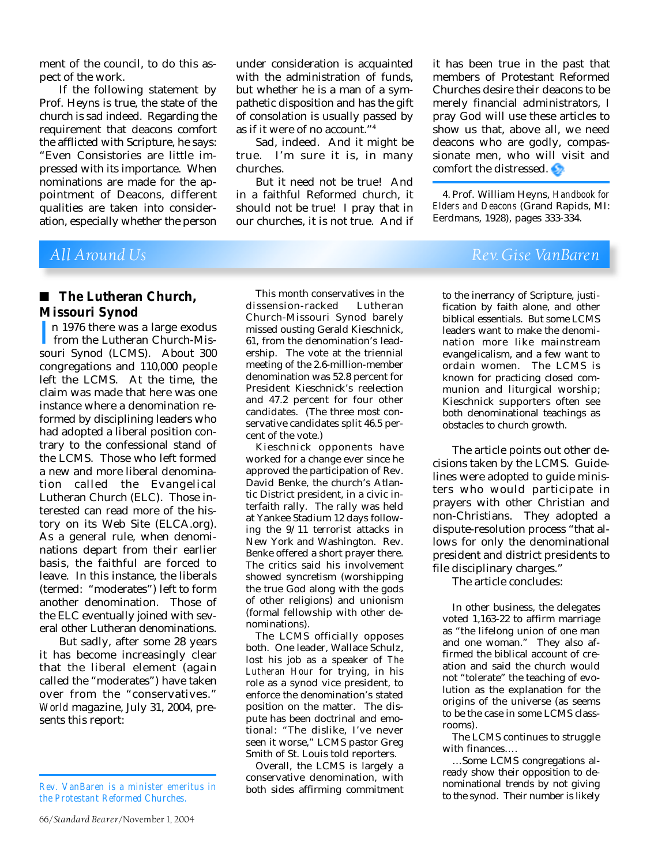ment of the council, to do this aspect of the work.

If the following statement by Prof. Heyns is true, the state of the church is sad indeed. Regarding the requirement that deacons comfort the afflicted with Scripture, he says: "Even Consistories are little impressed with its importance. When nominations are made for the appointment of Deacons, different qualities are taken into consideration, especially whether the person under consideration is acquainted with the administration of funds, but whether he is a man of a sympathetic disposition and has the gift of consolation is usually passed by as if it were of no account."4

Sad, indeed. And it might be true. I'm sure it is, in many churches.

But it need not be true! And in a faithful Reformed church, it should not be true! I pray that in our churches, it is not true. And if it has been true in the past that members of Protestant Reformed Churches desire their deacons to be merely financial administrators, I pray God will use these articles to show us that, above all, we need deacons who are godly, compassionate men, who will visit and comfort the distressed.

4. Prof. William Heyns, *Handbook for Elders and Deacons* (Grand Rapids, MI: Eerdmans, 1928), pages 333-334.

### ■ **The Lutheran Church**, **Missouri Synod**

n 1976 there was a large exodus<br>from the Lutheran Church-Mis-<br>souri Synod (LCMS). About 300 from the Lutheran Church-Missouri Synod (LCMS). About 300 congregations and 110,000 people left the LCMS. At the time, the claim was made that here was one instance where a denomination reformed by disciplining leaders who had adopted a liberal position contrary to the confessional stand of the LCMS. Those who left formed a new and more liberal denomination called the Evangelical Lutheran Church (ELC). Those interested can read more of the history on its Web Site (ELCA.org). As a general rule, when denominations depart from their earlier basis, the faithful are forced to leave. In this instance, the liberals (termed: "moderates") left to form another denomination. Those of the ELC eventually joined with several other Lutheran denominations.

But sadly, after some 28 years it has become increasingly clear that the liberal element (again called the "moderates") have taken over from the "conservatives." *World* magazine, July 31, 2004, presents this report:

This month conservatives in the dissension-racked Lutheran Church-Missouri Synod barely missed ousting Gerald Kieschnick, 61, from the denomination's leadership. The vote at the triennial meeting of the 2.6-million-member denomination was 52.8 percent for President Kieschnick's reelection and 47.2 percent for four other candidates. (The three most conservative candidates split 46.5 percent of the vote.)

Kieschnick opponents have worked for a change ever since he approved the participation of Rev. David Benke, the church's Atlantic District president, in a civic interfaith rally. The rally was held at Yankee Stadium 12 days following the 9/11 terrorist attacks in New York and Washington. Rev. Benke offered a short prayer there. The critics said his involvement showed syncretism (worshipping the true God along with the gods of other religions) and unionism (formal fellowship with other denominations).

The LCMS officially opposes both. One leader, Wallace Schulz, lost his job as a speaker of *The Lutheran Hour* for trying, in his role as a synod vice president, to enforce the denomination's stated position on the matter. The dispute has been doctrinal and emotional: "The dislike, I've never seen it worse," LCMS pastor Greg Smith of St. Louis told reporters.

Overall, the LCMS is largely a conservative denomination, with both sides affirming commitment

## *All Around Us Rev. Gise VanBaren*

to the inerrancy of Scripture, justification by faith alone, and other biblical essentials. But some LCMS leaders want to make the denomination more like mainstream evangelicalism, and a few want to ordain women. The LCMS is known for practicing closed communion and liturgical worship; Kieschnick supporters often see both denominational teachings as obstacles to church growth.

The article points out other decisions taken by the LCMS. Guidelines were adopted to guide ministers who would participate in prayers with other Christian and non-Christians. They adopted a dispute-resolution process "that allows for only the denominational president and district presidents to file disciplinary charges."

The article concludes:

In other business, the delegates voted 1,163-22 to affirm marriage as "the lifelong union of one man and one woman." They also affirmed the biblical account of creation and said the church would not "tolerate" the teaching of evolution as the explanation for the origins of the universe (as seems to be the case in some LCMS classrooms).

The LCMS continues to struggle with finances….

…Some LCMS congregations already show their opposition to denominational trends by not giving to the synod. Their number is likely

*Rev. VanBaren is a minister emeritus in the Protestant Reformed Churches.*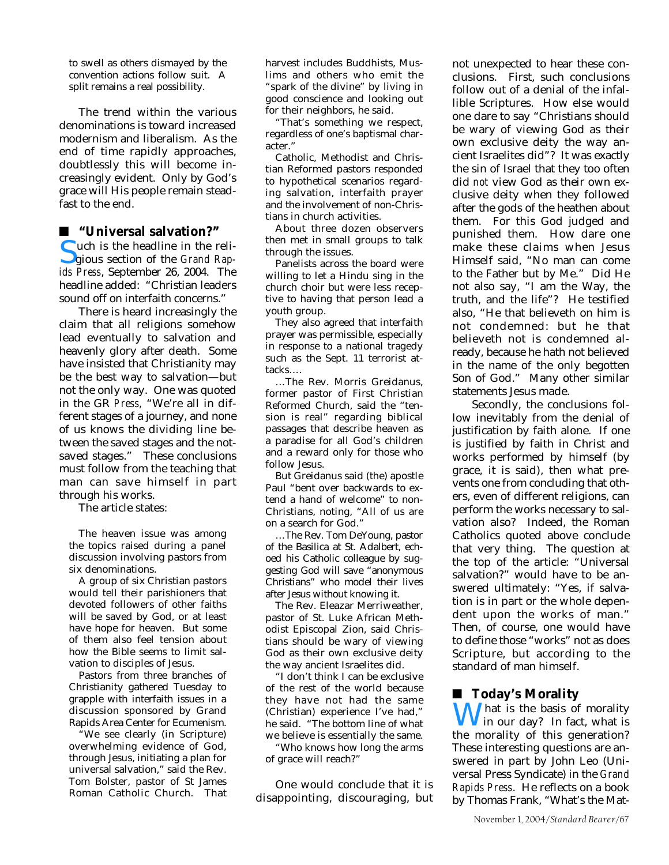to swell as others dismayed by the convention actions follow suit. A split remains a real possibility.

The trend within the various denominations is toward increased modernism and liberalism. As the end of time rapidly approaches, doubtlessly this will become increasingly evident. Only by God's grace will His people remain steadfast to the end.

### ■ **"Universal salvation?"**

Such is the headline in the religious section of the *Grand Rap-*<br>*ids Press.* September 26, 2004. The gious section of the *Grand Rapids Press*, September 26, 2004. The headline added: "Christian leaders sound off on interfaith concerns."

There is heard increasingly the claim that all religions somehow lead eventually to salvation and heavenly glory after death. Some have insisted that Christianity may be the best way to salvation—but not the only way. One was quoted in the GR *Press,* "We're all in different stages of a journey, and none of us knows the dividing line between the saved stages and the notsaved stages." These conclusions must follow from the teaching that man can save himself in part through his works.

The article states:

The heaven issue was among the topics raised during a panel discussion involving pastors from six denominations.

A group of six Christian pastors would tell their parishioners that devoted followers of other faiths will be saved by God, or at least have hope for heaven. But some of them also feel tension about how the Bible seems to limit salvation to disciples of Jesus.

Pastors from three branches of Christianity gathered Tuesday to grapple with interfaith issues in a discussion sponsored by Grand Rapids Area Center for Ecumenism.

"We see clearly (in Scripture) overwhelming evidence of God, through Jesus, initiating a plan for universal salvation," said the Rev. Tom Bolster, pastor of St James Roman Catholic Church. That

harvest includes Buddhists, Muslims and others who emit the "spark of the divine" by living in good conscience and looking out for their neighbors, he said.

"That's something we respect, regardless of one's baptismal character."

Catholic, Methodist and Christian Reformed pastors responded to hypothetical scenarios regarding salvation, interfaith prayer and the involvement of non-Christians in church activities.

About three dozen observers then met in small groups to talk through the issues.

Panelists across the board were willing to let a Hindu sing in the church choir but were less receptive to having that person lead a youth group.

They also agreed that interfaith prayer was permissible, especially in response to a national tragedy such as the Sept. 11 terrorist attacks….

…The Rev. Morris Greidanus, former pastor of First Christian Reformed Church, said the "tension is real" regarding biblical passages that describe heaven as a paradise for all God's children and a reward only for those who follow Jesus.

But Greidanus said (the) apostle Paul "bent over backwards to extend a hand of welcome" to non-Christians, noting, "All of us are on a search for God."

…The Rev. Tom DeYoung, pastor of the Basilica at St. Adalbert, echoed his Catholic colleague by suggesting God will save "anonymous Christians" who model their lives after Jesus without knowing it.

The Rev. Eleazar Merriweather, pastor of St. Luke African Methodist Episcopal Zion, said Christians should be wary of viewing God as their own exclusive deity the way ancient Israelites did.

"I don't think I can be exclusive of the rest of the world because they have not had the same (Christian) experience I've had," he said. "The bottom line of what we believe is essentially the same.

"Who knows how long the arms of grace will reach?"

One would conclude that it is disappointing, discouraging, but

not unexpected to hear these conclusions. First, such conclusions follow out of a denial of the infallible Scriptures. How else would one dare to say "Christians should be wary of viewing God as their own exclusive deity the way ancient Israelites did"? It was exactly the sin of Israel that they too often did *not* view God as their own exclusive deity when they followed after the gods of the heathen about them. For this God judged and punished them. How dare one make these claims when Jesus Himself said, "No man can come to the Father but by Me." Did He not also say, "I am the Way, the truth, and the life"? He testified also, "He that believeth on him is not condemned: but he that believeth not is condemned already, because he hath not believed in the name of the only begotten Son of God." Many other similar statements Jesus made.

Secondly, the conclusions follow inevitably from the denial of justification by faith alone. If one is justified by faith in Christ and works performed by himself (by grace, it is said), then what prevents one from concluding that others, even of different religions, can perform the works necessary to salvation also? Indeed, the Roman Catholics quoted above conclude that very thing. The question at the top of the article: "Universal salvation?" would have to be answered ultimately: "Yes, if salvation is in part or the whole dependent upon the works of man." Then, of course, one would have to define those "works" not as does Scripture, but according to the standard of man himself.

### ■ **Today's Morality**

**What is the basis of morality** in our day? In fact, what is the morality of this generation? These interesting questions are answered in part by John Leo (Universal Press Syndicate) in the *Grand Rapids Press*. He reflects on a book by Thomas Frank, "What's the Mat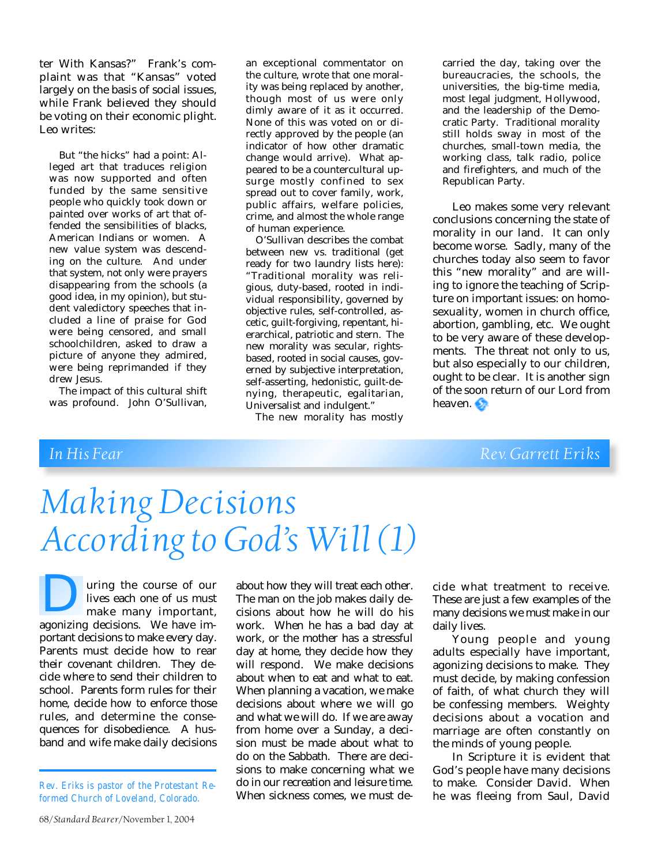ter With Kansas?" Frank's complaint was that "Kansas" voted largely on the basis of social issues, while Frank believed they should be voting on their economic plight. Leo writes:

But "the hicks" had a point: Alleged art that traduces religion was now supported and often funded by the same sensitive people who quickly took down or painted over works of art that offended the sensibilities of blacks, American Indians or women. A new value system was descending on the culture. And under that system, not only were prayers disappearing from the schools (a good idea, in my opinion), but student valedictory speeches that included a line of praise for God were being censored, and small schoolchildren, asked to draw a picture of anyone they admired, were being reprimanded if they drew Jesus.

The impact of this cultural shift was profound. John O'Sullivan, an exceptional commentator on the culture, wrote that one morality was being replaced by another, though most of us were only dimly aware of it as it occurred. None of this was voted on or directly approved by the people (an indicator of how other dramatic change would arrive). What appeared to be a countercultural upsurge mostly confined to sex spread out to cover family, work, public affairs, welfare policies, crime, and almost the whole range of human experience.

O'Sullivan describes the combat between new vs. traditional (get ready for two laundry lists here): "Traditional morality was religious, duty-based, rooted in individual responsibility, governed by objective rules, self-controlled, ascetic, guilt-forgiving, repentant, hierarchical, patriotic and stern. The new morality was secular, rightsbased, rooted in social causes, governed by subjective interpretation, self-asserting, hedonistic, guilt-denying, therapeutic, egalitarian, Universalist and indulgent."

The new morality has mostly

carried the day, taking over the bureaucracies, the schools, the universities, the big-time media, most legal judgment, Hollywood, and the leadership of the Democratic Party. Traditional morality still holds sway in most of the churches, small-town media, the working class, talk radio, police and firefighters, and much of the Republican Party.

Leo makes some very relevant conclusions concerning the state of morality in our land. It can only become worse. Sadly, many of the churches today also seem to favor this "new morality" and are willing to ignore the teaching of Scripture on important issues: on homosexuality, women in church office, abortion, gambling, etc. We ought to be very aware of these developments. The threat not only to us, but also especially to our children, ought to be clear. It is another sign of the soon return of our Lord from heaven.

## **In His Fear Rev. Garrett Eriks**

# *Making Decisions According to God's Will (1)*

uring the course of our lives each one of us must make many important, all uring the course of our lives each one of us must<br>make many important,<br>agonizing decisions. We have important decisions to make every day. Parents must decide how to rear their covenant children. They decide where to send their children to school. Parents form rules for their home, decide how to enforce those rules, and determine the consequences for disobedience. A husband and wife make daily decisions

*Rev. Eriks is pastor of the Protestant Reformed Church of Loveland, Colorado.*

The man on the job makes daily decisions about how he will do his work. When he has a bad day at work, or the mother has a stressful day at home, they decide how they will respond. We make decisions about when to eat and what to eat. When planning a vacation, we make decisions about where we will go and what we will do. If we are away from home over a Sunday, a decision must be made about what to do on the Sabbath. There are decisions to make concerning what we do in our recreation and leisure time. When sickness comes, we must de-

about how they will treat each other.

cide what treatment to receive. These are just a few examples of the many decisions we must make in our daily lives.

Young people and young adults especially have important, agonizing decisions to make. They must decide, by making confession of faith, of what church they will be confessing members. Weighty decisions about a vocation and marriage are often constantly on the minds of young people.

In Scripture it is evident that God's people have many decisions to make. Consider David. When he was fleeing from Saul, David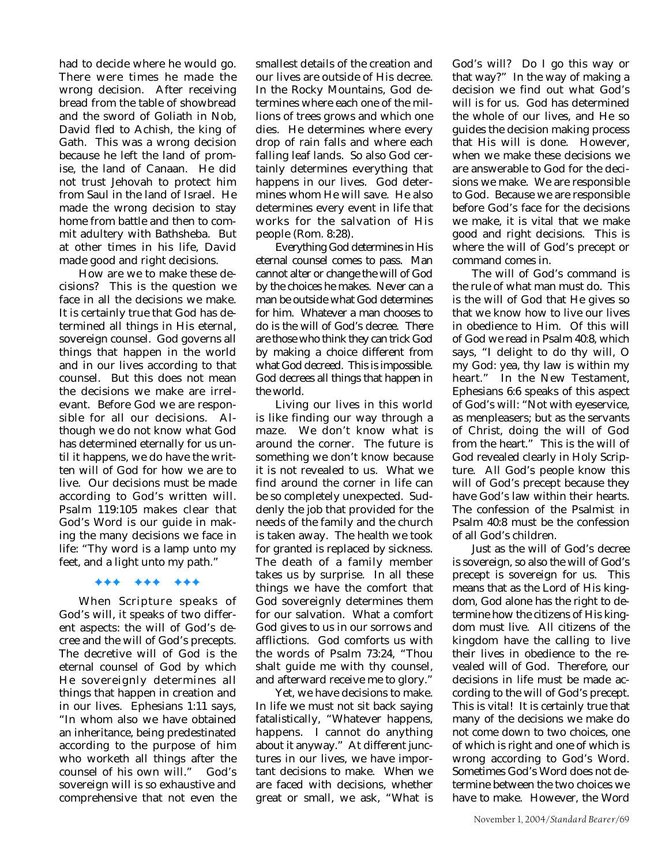had to decide where he would go. There were times he made the wrong decision. After receiving bread from the table of showbread and the sword of Goliath in Nob, David fled to Achish, the king of Gath. This was a wrong decision because he left the land of promise, the land of Canaan. He did not trust Jehovah to protect him from Saul in the land of Israel. He made the wrong decision to stay home from battle and then to commit adultery with Bathsheba. But at other times in his life, David made good and right decisions.

How are we to make these decisions? This is the question we face in all the decisions we make. It is certainly true that God has determined all things in His eternal, sovereign counsel. God governs all things that happen in the world and in our lives according to that counsel. But this does not mean the decisions we make are irrelevant. Before God we are responsible for all our decisions. Although we do not know what God has determined eternally for us until it happens, we do have the written will of God for how we are to live. Our decisions must be made according to God's written will. Psalm 119:105 makes clear that God's Word is our guide in making the many decisions we face in life: "Thy word is a lamp unto my feet, and a light unto my path."

### ✦✦✦ ✦✦✦ ✦✦✦

When Scripture speaks of God's will, it speaks of two different aspects: the will of God's decree and the will of God's precepts. The decretive will of God is the eternal counsel of God by which He sovereignly determines all things that happen in creation and in our lives. Ephesians 1:11 says, "In whom also we have obtained an inheritance, being predestinated according to the purpose of him who worketh all things after the counsel of his own will." God's sovereign will is so exhaustive and comprehensive that not even the

smallest details of the creation and our lives are outside of His decree. In the Rocky Mountains, God determines where each one of the millions of trees grows and which one dies. He determines where every drop of rain falls and where each falling leaf lands. So also God certainly determines everything that happens in our lives. God determines whom He will save. He also determines every event in life that works for the salvation of His people (Rom. 8:28).

Everything God determines in His eternal counsel comes to pass. Man cannot alter or change the will of God by the choices he makes. Never can a man be outside what God determines for him. Whatever a man chooses to do is the will of God's decree. There are those who think they can trick God by making a choice different from what God decreed. This is impossible. God decrees all things that happen in the world.

Living our lives in this world is like finding our way through a maze. We don't know what is around the corner. The future is something we don't know because it is not revealed to us. What we find around the corner in life can be so completely unexpected. Suddenly the job that provided for the needs of the family and the church is taken away. The health we took for granted is replaced by sickness. The death of a family member takes us by surprise. In all these things we have the comfort that God sovereignly determines them for our salvation. What a comfort God gives to us in our sorrows and afflictions. God comforts us with the words of Psalm 73:24, "Thou shalt guide me with thy counsel, and afterward receive me to glory."

Yet, we have decisions to make. In life we must not sit back saying fatalistically, "Whatever happens, happens. I cannot do anything about it anyway." At different junctures in our lives, we have important decisions to make. When we are faced with decisions, whether great or small, we ask, "What is

God's will? Do I go this way or that way?" In the way of making a decision we find out what God's will is for us. God has determined the whole of our lives, and He so guides the decision making process that His will is done. However, when we make these decisions we are answerable to God for the decisions we make. We are responsible to God. Because we are responsible before God's face for the decisions we make, it is vital that we make good and right decisions. This is where the will of God's precept or command comes in.

The will of God's command is the rule of what man must do. This is the will of God that He gives so that we know how to live our lives in obedience to Him. Of this will of God we read in Psalm 40:8, which says, "I delight to do thy will, O my God: yea, thy law is within my heart." In the New Testament, Ephesians 6:6 speaks of this aspect of God's will: "Not with eyeservice, as menpleasers; but as the servants of Christ, doing the will of God from the heart." This is the will of God revealed clearly in Holy Scripture. All God's people know this will of God's precept because they have God's law within their hearts. The confession of the Psalmist in Psalm 40:8 must be the confession of all God's children.

Just as the will of God's decree is sovereign, so also the will of God's precept is sovereign for us. This means that as the Lord of His kingdom, God alone has the right to determine how the citizens of His kingdom must live. All citizens of the kingdom have the calling to live their lives in obedience to the revealed will of God. Therefore, our decisions in life must be made according to the will of God's precept. This is vital! It is certainly true that many of the decisions we make do not come down to two choices, one of which is right and one of which is wrong according to God's Word. Sometimes God's Word does not determine between the two choices we have to make. However, the Word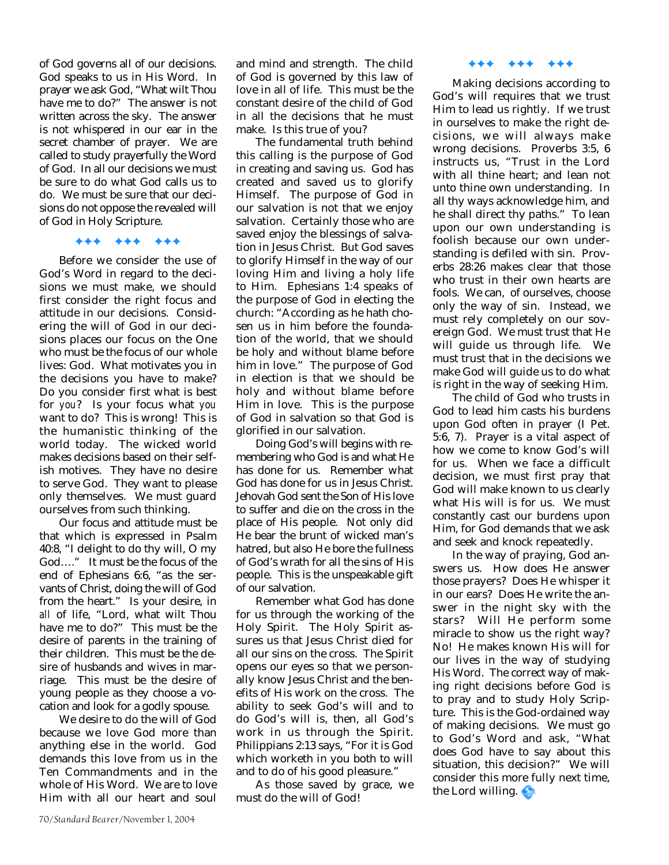of God governs all of our decisions. God speaks to us in His Word. In prayer we ask God, "What wilt Thou have me to do?" The answer is not written across the sky. The answer is not whispered in our ear in the secret chamber of prayer. We are called to study prayerfully the Word of God. In all our decisions we must be sure to do what God calls us to do. We must be sure that our decisions do not oppose the revealed will of God in Holy Scripture.

### ✦✦✦ ✦✦✦ ✦✦✦

Before we consider the use of God's Word in regard to the decisions we must make, we should first consider the right focus and attitude in our decisions. Considering the will of God in our decisions places our focus on the One who must be the focus of our whole lives: God. What motivates you in the decisions you have to make? Do you consider first what is best for *you*? Is your focus what *you* want to do? This is wrong! This is the humanistic thinking of the world today. The wicked world makes decisions based on their selfish motives. They have no desire to serve God. They want to please only themselves. We must guard ourselves from such thinking.

Our focus and attitude must be that which is expressed in Psalm 40:8, "I delight to do thy will, O my God…." It must be the focus of the end of Ephesians 6:6, "as the servants of Christ, doing the will of God from the heart." Is your desire, in *all* of life, "Lord, what wilt Thou have me to do?" This must be the desire of parents in the training of their children. This must be the desire of husbands and wives in marriage. This must be the desire of young people as they choose a vocation and look for a godly spouse.

We desire to do the will of God because we love God more than anything else in the world. God demands this love from us in the Ten Commandments and in the whole of His Word. We are to love Him with all our heart and soul

and mind and strength. The child of God is governed by this law of love in all of life. This must be the constant desire of the child of God in all the decisions that he must make. Is this true of you?

The fundamental truth behind this calling is the purpose of God in creating and saving us. God has created and saved us to glorify Himself. The purpose of God in our salvation is not that we enjoy salvation. Certainly those who are saved enjoy the blessings of salvation in Jesus Christ. But God saves to glorify Himself in the way of our loving Him and living a holy life to Him. Ephesians 1:4 speaks of the purpose of God in electing the church: "According as he hath chosen us in him before the foundation of the world, that we should be holy and without blame before him in love." The purpose of God in election is that we should be holy and without blame before Him in love. This is the purpose of God in salvation so that God is glorified in our salvation.

Doing God's will begins with remembering who God is and what He has done for us. Remember what God has done for us in Jesus Christ. Jehovah God sent the Son of His love to suffer and die on the cross in the place of His people. Not only did He bear the brunt of wicked man's hatred, but also He bore the fullness of God's wrath for all the sins of His people. This is the unspeakable gift of our salvation.

Remember what God has done for us through the working of the Holy Spirit. The Holy Spirit assures us that Jesus Christ died for all our sins on the cross. The Spirit opens our eyes so that we personally know Jesus Christ and the benefits of His work on the cross. The ability to seek God's will and to do God's will is, then, all God's work in us through the Spirit. Philippians 2:13 says, "For it is God which worketh in you both to will and to do of his good pleasure."

As those saved by grace, we must do the will of God!

### ✦✦✦ ✦✦✦ ✦✦✦

Making decisions according to God's will requires that we trust Him to lead us rightly. If we trust in ourselves to make the right decisions, we will always make wrong decisions. Proverbs 3:5, 6 instructs us, "Trust in the Lord with all thine heart; and lean not unto thine own understanding. In all thy ways acknowledge him, and he shall direct thy paths." To lean upon our own understanding is foolish because our own understanding is defiled with sin. Proverbs 28:26 makes clear that those who trust in their own hearts are fools. We can, of ourselves, choose only the way of sin. Instead, we must rely completely on our sovereign God. We must trust that He will guide us through life. We must trust that in the decisions we make God will guide us to do what is right in the way of seeking Him.

The child of God who trusts in God to lead him casts his burdens upon God often in prayer (I Pet. 5:6, 7). Prayer is a vital aspect of how we come to know God's will for us. When we face a difficult decision, we must first pray that God will make known to us clearly what His will is for us. We must constantly cast our burdens upon Him, for God demands that we ask and seek and knock repeatedly.

In the way of praying, God answers us. How does He answer those prayers? Does He whisper it in our ears? Does He write the answer in the night sky with the stars? Will He perform some miracle to show us the right way? No! He makes known His will for our lives in the way of studying His Word. The correct way of making right decisions before God is to pray and to study Holy Scripture. This is the God-ordained way of making decisions. We must go to God's Word and ask, "What does God have to say about this situation, this decision?" We will consider this more fully next time, the Lord willing.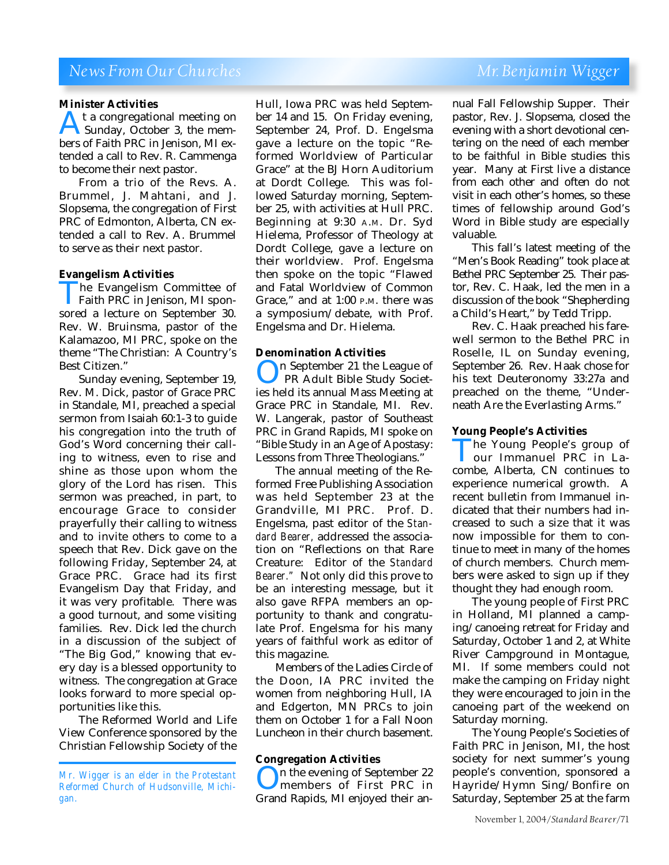## *News From Our Churches* Mr. Benjamin Wigger

### **Minister Activities**

**At a congregational meeting on<br>Sunday, October 3, the members of Faith PRC in Jenison. MI ex-**Sunday, October 3, the members of Faith PRC in Jenison, MI extended a call to Rev. R. Cammenga to become their next pastor.

From a trio of the Revs. A. Brummel, J. Mahtani, and J. Slopsema, the congregation of First PRC of Edmonton, Alberta, CN extended a call to Rev. A. Brummel to serve as their next pastor.

### **Evangelism Activities**

The Evangelism Committee of<br>Faith PRC in Jenison, MI spon-<br>sored a lecture on September 30. Faith PRC in Jenison, MI sponsored a lecture on September 30. Rev. W. Bruinsma, pastor of the Kalamazoo, MI PRC, spoke on the theme "The Christian: A Country's Best Citizen."

Sunday evening, September 19, Rev. M. Dick, pastor of Grace PRC in Standale, MI, preached a special sermon from Isaiah 60:1-3 to guide his congregation into the truth of God's Word concerning their calling to witness, even to rise and shine as those upon whom the glory of the Lord has risen. This sermon was preached, in part, to encourage Grace to consider prayerfully their calling to witness and to invite others to come to a speech that Rev. Dick gave on the following Friday, September 24, at Grace PRC. Grace had its first Evangelism Day that Friday, and it was very profitable. There was a good turnout, and some visiting families. Rev. Dick led the church in a discussion of the subject of "The Big God," knowing that every day is a blessed opportunity to witness. The congregation at Grace looks forward to more special opportunities like this.

The Reformed World and Life View Conference sponsored by the Christian Fellowship Society of the Hull, Iowa PRC was held September 14 and 15. On Friday evening, September 24, Prof. D. Engelsma gave a lecture on the topic "Reformed Worldview of Particular Grace" at the BJ Horn Auditorium at Dordt College. This was followed Saturday morning, September 25, with activities at Hull PRC. Beginning at 9:30 A.M. Dr. Syd Hielema, Professor of Theology at Dordt College, gave a lecture on their worldview. Prof. Engelsma then spoke on the topic "Flawed and Fatal Worldview of Common Grace," and at 1:00 P.M. there was a symposium/debate, with Prof. Engelsma and Dr. Hielema.

### **Denomination Activities**

On September 21 the League of<br>PR Adult Bible Study Societ-<br>ies held its annual Mass Meeting at PR Adult Bible Study Societ-Grace PRC in Standale, MI. Rev. W. Langerak, pastor of Southeast PRC in Grand Rapids, MI spoke on "Bible Study in an Age of Apostasy: Lessons from Three Theologians."

The annual meeting of the Reformed Free Publishing Association was held September 23 at the Grandville, MI PRC. Prof. D. Engelsma, past editor of the *Standard Bearer,* addressed the association on "Reflections on that Rare Creature: Editor of the *Standard Bearer."* Not only did this prove to be an interesting message, but it also gave RFPA members an opportunity to thank and congratulate Prof. Engelsma for his many years of faithful work as editor of this magazine.

Members of the Ladies Circle of the Doon, IA PRC invited the women from neighboring Hull, IA and Edgerton, MN PRCs to join them on October 1 for a Fall Noon Luncheon in their church basement.

### **Congregation Activities**

On the evening of September 22 members of First PRC in Grand Rapids, MI enjoyed their an-

nual Fall Fellowship Supper. Their pastor, Rev. J. Slopsema, closed the evening with a short devotional centering on the need of each member to be faithful in Bible studies this year. Many at First live a distance from each other and often do not visit in each other's homes, so these times of fellowship around God's Word in Bible study are especially valuable.

This fall's latest meeting of the "Men's Book Reading" took place at Bethel PRC September 25. Their pastor, Rev. C. Haak, led the men in a discussion of the book "Shepherding a Child's Heart," by Tedd Tripp.

Rev. C. Haak preached his farewell sermon to the Bethel PRC in Roselle, IL on Sunday evening, September 26. Rev. Haak chose for his text Deuteronomy 33:27a and preached on the theme, "Underneath Are the Everlasting Arms."

### **Young People's Activities**

The Young People's group of<br>The Your Immanuel PRC in Lacombe. Alberta. CN continues to our Immanuel PRC in Lacombe, Alberta, CN continues to experience numerical growth. A recent bulletin from Immanuel indicated that their numbers had increased to such a size that it was now impossible for them to continue to meet in many of the homes of church members. Church members were asked to sign up if they thought they had enough room.

The young people of First PRC in Holland, MI planned a camping/canoeing retreat for Friday and Saturday, October 1 and 2, at White River Campground in Montague, MI. If some members could not make the camping on Friday night they were encouraged to join in the canoeing part of the weekend on Saturday morning.

The Young People's Societies of Faith PRC in Jenison, MI, the host society for next summer's young people's convention, sponsored a Hayride/Hymn Sing/Bonfire on Saturday, September 25 at the farm

*Mr. Wigger is an elder in the Protestant Reformed Church of Hudsonville, Michigan.*